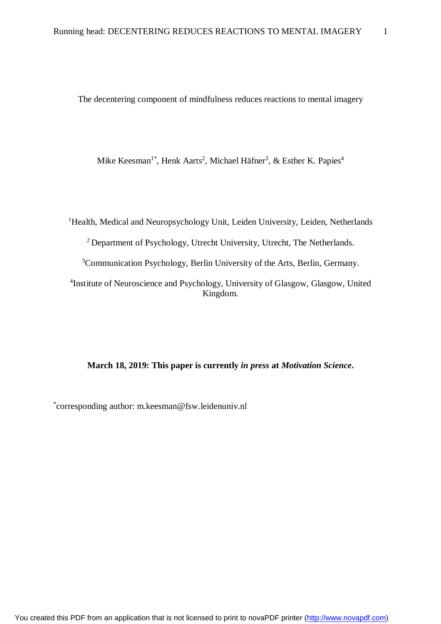The decentering component of mindfulness reduces reactions to mental imagery

Mike Keesman<sup>1\*</sup>, Henk Aarts<sup>2</sup>, Michael Häfner<sup>3</sup>, & Esther K. Papies<sup>4</sup>

<sup>1</sup>Health, Medical and Neuropsychology Unit, Leiden University, Leiden, Netherlands <sup>2</sup> Department of Psychology, Utrecht University, Utrecht, The Netherlands. <sup>3</sup>Communication Psychology, Berlin University of the Arts, Berlin, Germany. <sup>4</sup>Institute of Neuroscience and Psychology, University of Glasgow, Glasgow, United Kingdom.

# **March 18, 2019: This paper is currently** *in press* **at** *Motivation Science***.**

\* corresponding author: [m.keesman@fsw.leidenuniv.nl](mailto:m.keesman@fsw.leidenuniv.nl)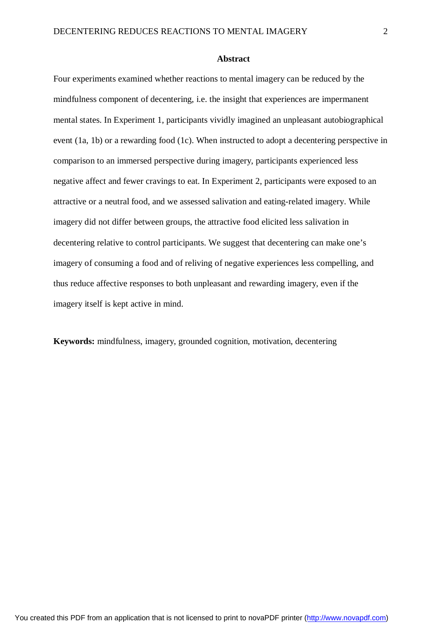#### **Abstract**

Four experiments examined whether reactions to mental imagery can be reduced by the mindfulness component of decentering, i.e. the insight that experiences are impermanent mental states. In Experiment 1, participants vividly imagined an unpleasant autobiographical event (1a, 1b) or a rewarding food (1c). When instructed to adopt a decentering perspective in comparison to an immersed perspective during imagery, participants experienced less negative affect and fewer cravings to eat. In Experiment 2, participants were exposed to an attractive or a neutral food, and we assessed salivation and eating-related imagery. While imagery did not differ between groups, the attractive food elicited less salivation in decentering relative to control participants. We suggest that decentering can make one's imagery of consuming a food and of reliving of negative experiences less compelling, and thus reduce affective responses to both unpleasant and rewarding imagery, even if the imagery itself is kept active in mind.

**Keywords:** mindfulness, imagery, grounded cognition, motivation, decentering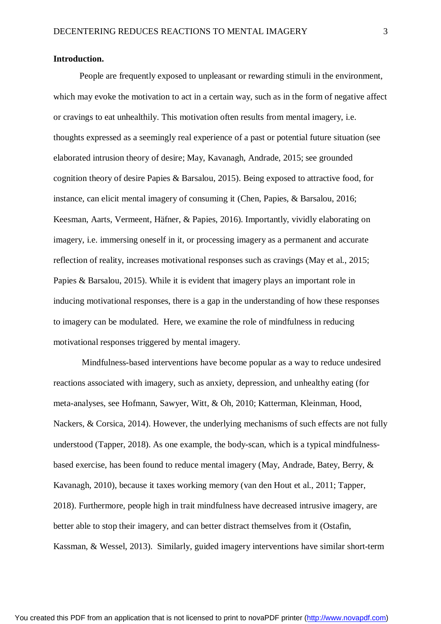#### **Introduction.**

People are frequently exposed to unpleasant or rewarding stimuli in the environment, which may evoke the motivation to act in a certain way, such as in the form of negative affect or cravings to eat unhealthily. This motivation often results from mental imagery, i.e. thoughts expressed as a seemingly real experience of a past or potential future situation (see elaborated intrusion theory of desire; May, Kavanagh, Andrade, 2015; see grounded cognition theory of desire Papies & Barsalou, 2015). Being exposed to attractive food, for instance, can elicit mental imagery of consuming it (Chen, Papies, & Barsalou, 2016; Keesman, Aarts, Vermeent, Häfner, & Papies, 2016). Importantly, vividly elaborating on imagery, i.e. immersing oneself in it, or processing imagery as a permanent and accurate reflection of reality, increases motivational responses such as cravings (May et al., 2015; Papies & Barsalou, 2015). While it is evident that imagery plays an important role in inducing motivational responses, there is a gap in the understanding of how these responses to imagery can be modulated. Here, we examine the role of mindfulness in reducing motivational responses triggered by mental imagery.

Mindfulness-based interventions have become popular as a way to reduce undesired reactions associated with imagery, such as anxiety, depression, and unhealthy eating (for meta-analyses, see Hofmann, Sawyer, Witt, & Oh, 2010; Katterman, Kleinman, Hood, Nackers, & Corsica, 2014). However, the underlying mechanisms of such effects are not fully understood (Tapper, 2018). As one example, the body-scan, which is a typical mindfulnessbased exercise, has been found to reduce mental imagery (May, Andrade, Batey, Berry, & Kavanagh, 2010), because it taxes working memory (van den Hout et al., 2011; Tapper, 2018). Furthermore, people high in trait mindfulness have decreased intrusive imagery, are better able to stop their imagery, and can better distract themselves from it (Ostafin, Kassman, & Wessel, 2013). Similarly, guided imagery interventions have similar short-term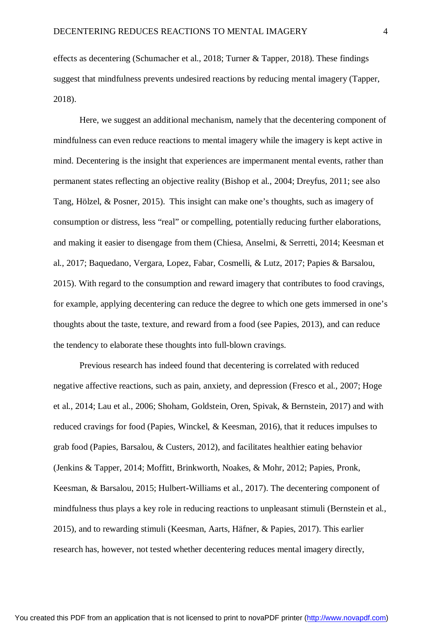effects as decentering (Schumacher et al., 2018; Turner & Tapper, 2018). These findings suggest that mindfulness prevents undesired reactions by reducing mental imagery (Tapper, 2018).

Here, we suggest an additional mechanism, namely that the decentering component of mindfulness can even reduce reactions to mental imagery while the imagery is kept active in mind. Decentering is the insight that experiences are impermanent mental events, rather than permanent states reflecting an objective reality (Bishop et al., 2004; Dreyfus, 2011; see also Tang, Hölzel, & Posner, 2015). This insight can make one's thoughts, such as imagery of consumption or distress, less "real" or compelling, potentially reducing further elaborations, and making it easier to disengage from them (Chiesa, Anselmi, & Serretti, 2014; Keesman et al., 2017; Baquedano, Vergara, Lopez, Fabar, Cosmelli, & Lutz, 2017; Papies & Barsalou, 2015). With regard to the consumption and reward imagery that contributes to food cravings, for example, applying decentering can reduce the degree to which one gets immersed in one's thoughts about the taste, texture, and reward from a food (see Papies, 2013), and can reduce the tendency to elaborate these thoughts into full-blown cravings.

Previous research has indeed found that decentering is correlated with reduced negative affective reactions, such as pain, anxiety, and depression (Fresco et al., 2007; Hoge et al., 2014; Lau et al., 2006; Shoham, Goldstein, Oren, Spivak, & Bernstein, 2017) and with reduced cravings for food (Papies, Winckel, & Keesman, 2016), that it reduces impulses to grab food (Papies, Barsalou, & Custers, 2012), and facilitates healthier eating behavior (Jenkins & Tapper, 2014; Moffitt, Brinkworth, Noakes, & Mohr, 2012; Papies, Pronk, Keesman, & Barsalou, 2015; Hulbert-Williams et al., 2017). The decentering component of mindfulness thus plays a key role in reducing reactions to unpleasant stimuli (Bernstein et al., 2015), and to rewarding stimuli (Keesman, Aarts, Häfner, & Papies, 2017). This earlier research has, however, not tested whether decentering reduces mental imagery directly,

You created this PDF from an application that is not licensed to print to novaPDF printer ([http://www.novapdf.com\)](http://www.novapdf.com/)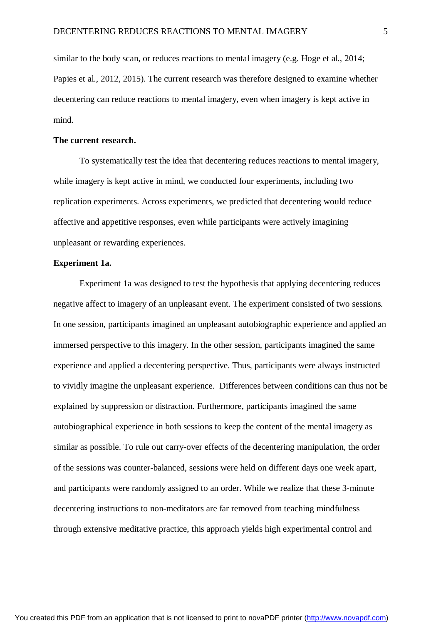similar to the body scan, or reduces reactions to mental imagery (e.g. Hoge et al., 2014; Papies et al., 2012, 2015). The current research was therefore designed to examine whether decentering can reduce reactions to mental imagery, even when imagery is kept active in mind.

### **The current research.**

To systematically test the idea that decentering reduces reactions to mental imagery, while imagery is kept active in mind, we conducted four experiments, including two replication experiments. Across experiments, we predicted that decentering would reduce affective and appetitive responses, even while participants were actively imagining unpleasant or rewarding experiences.

# **Experiment 1a.**

Experiment 1a was designed to test the hypothesis that applying decentering reduces negative affect to imagery of an unpleasant event. The experiment consisted of two sessions. In one session, participants imagined an unpleasant autobiographic experience and applied an immersed perspective to this imagery. In the other session, participants imagined the same experience and applied a decentering perspective. Thus, participants were always instructed to vividly imagine the unpleasant experience. Differences between conditions can thus not be explained by suppression or distraction. Furthermore, participants imagined the same autobiographical experience in both sessions to keep the content of the mental imagery as similar as possible. To rule out carry-over effects of the decentering manipulation, the order of the sessions was counter-balanced, sessions were held on different days one week apart, and participants were randomly assigned to an order. While we realize that these 3-minute decentering instructions to non-meditators are far removed from teaching mindfulness through extensive meditative practice, this approach yields high experimental control and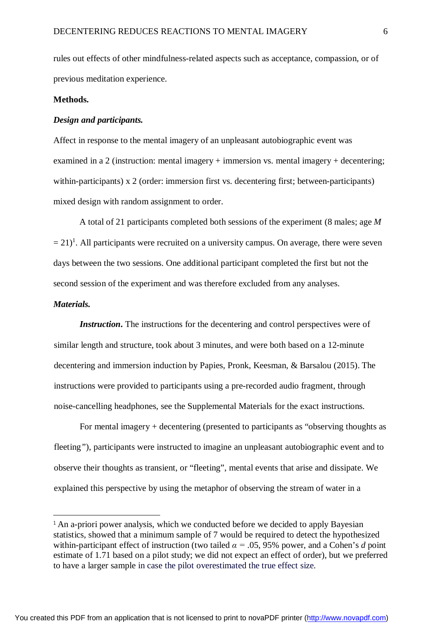rules out effects of other mindfulness-related aspects such as acceptance, compassion, or of previous meditation experience.

#### **Methods.**

### *Design and participants.*

Affect in response to the mental imagery of an unpleasant autobiographic event was examined in a 2 (instruction: mental imagery + immersion vs. mental imagery + decentering; within-participants) x 2 (order: immersion first vs. decentering first; between-participants) mixed design with random assignment to order.

A total of 21 participants completed both sessions of the experiment (8 males; age *M*  $(= 21)^1$ . All participants were recruited on a university campus. On average, there were seven days between the two sessions. One additional participant completed the first but not the second session of the experiment and was therefore excluded from any analyses.

# *Materials.*

 $\overline{\phantom{a}}$ 

*Instruction***.** The instructions for the decentering and control perspectives were of similar length and structure, took about 3 minutes, and were both based on a 12-minute decentering and immersion induction by Papies, Pronk, Keesman, & Barsalou (2015). The instructions were provided to participants using a pre-recorded audio fragment, through noise-cancelling headphones, see the Supplemental Materials for the exact instructions.

For mental imagery + decentering (presented to participants as "observing thoughts as fleeting*"*), participants were instructed to imagine an unpleasant autobiographic event and to observe their thoughts as transient, or "fleeting", mental events that arise and dissipate. We explained this perspective by using the metaphor of observing the stream of water in a

<sup>&</sup>lt;sup>1</sup> An a-priori power analysis, which we conducted before we decided to apply Bayesian statistics, showed that a minimum sample of 7 would be required to detect the hypothesized within-participant effect of instruction (two tailed  $\alpha = .05, 95\%$  power, and a Cohen's *d* point estimate of 1.71 based on a pilot study; we did not expect an effect of order), but we preferred to have a larger sample in case the pilot overestimated the true effect size.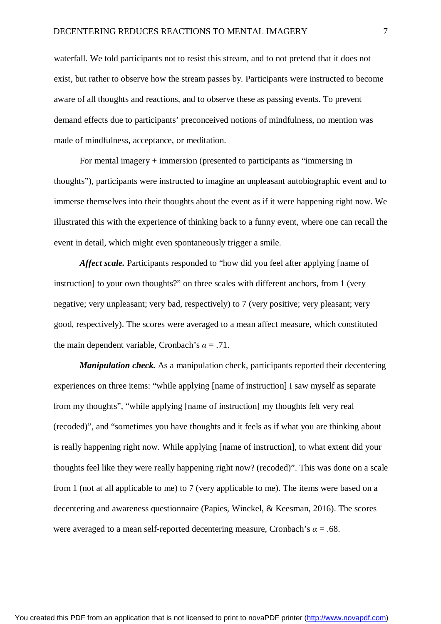waterfall. We told participants not to resist this stream, and to not pretend that it does not exist, but rather to observe how the stream passes by. Participants were instructed to become aware of all thoughts and reactions, and to observe these as passing events. To prevent demand effects due to participants' preconceived notions of mindfulness, no mention was made of mindfulness, acceptance, or meditation.

For mental imagery + immersion (presented to participants as "immersing in thoughts"), participants were instructed to imagine an unpleasant autobiographic event and to immerse themselves into their thoughts about the event as if it were happening right now. We illustrated this with the experience of thinking back to a funny event, where one can recall the event in detail, which might even spontaneously trigger a smile.

*Affect scale.* Participants responded to "how did you feel after applying [name of instruction] to your own thoughts?" on three scales with different anchors, from 1 (very negative; very unpleasant; very bad, respectively) to 7 (very positive; very pleasant; very good, respectively). The scores were averaged to a mean affect measure, which constituted the main dependent variable, Cronbach's  $\alpha = .71$ .

*Manipulation check.* As a manipulation check, participants reported their decentering experiences on three items: "while applying [name of instruction] I saw myself as separate from my thoughts", "while applying [name of instruction] my thoughts felt very real (recoded)", and "sometimes you have thoughts and it feels as if what you are thinking about is really happening right now. While applying [name of instruction], to what extent did your thoughts feel like they were really happening right now? (recoded)". This was done on a scale from 1 (not at all applicable to me) to 7 (very applicable to me). The items were based on a decentering and awareness questionnaire (Papies, Winckel, & Keesman, 2016). The scores were averaged to a mean self-reported decentering measure, Cronbach's  $\alpha = .68$ .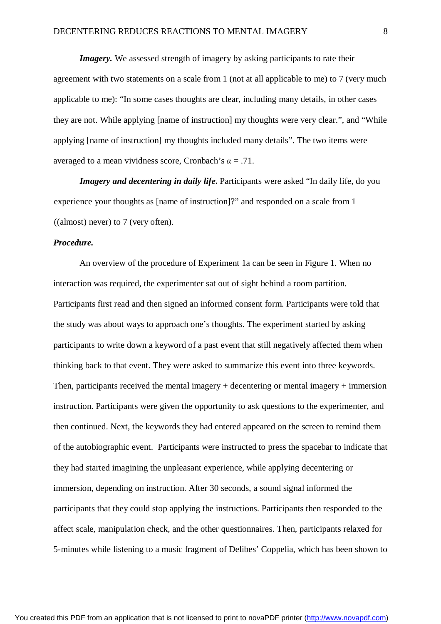*Imagery*. We assessed strength of imagery by asking participants to rate their agreement with two statements on a scale from 1 (not at all applicable to me) to 7 (very much applicable to me): "In some cases thoughts are clear, including many details, in other cases they are not. While applying [name of instruction] my thoughts were very clear.", and "While applying [name of instruction] my thoughts included many details". The two items were averaged to a mean vividness score, Cronbach's  $\alpha = .71$ .

*Imagery and decentering in daily life*. Participants were asked "In daily life, do you experience your thoughts as [name of instruction]?" and responded on a scale from 1 ((almost) never) to 7 (very often).

# *Procedure.*

An overview of the procedure of Experiment 1a can be seen in Figure 1. When no interaction was required, the experimenter sat out of sight behind a room partition. Participants first read and then signed an informed consent form. Participants were told that the study was about ways to approach one's thoughts. The experiment started by asking participants to write down a keyword of a past event that still negatively affected them when thinking back to that event. They were asked to summarize this event into three keywords. Then, participants received the mental imagery + decentering or mental imagery + immersion instruction. Participants were given the opportunity to ask questions to the experimenter, and then continued. Next, the keywords they had entered appeared on the screen to remind them of the autobiographic event. Participants were instructed to press the spacebar to indicate that they had started imagining the unpleasant experience, while applying decentering or immersion, depending on instruction. After 30 seconds, a sound signal informed the participants that they could stop applying the instructions. Participants then responded to the affect scale, manipulation check, and the other questionnaires. Then, participants relaxed for 5-minutes while listening to a music fragment of Delibes' Coppelia, which has been shown to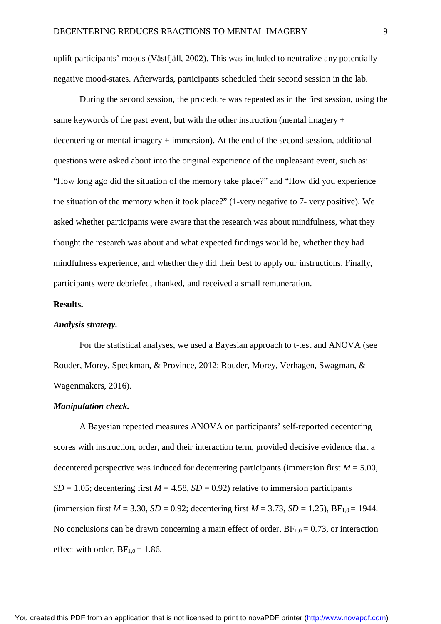uplift participants' moods (Västfjäll, 2002). This was included to neutralize any potentially negative mood-states. Afterwards, participants scheduled their second session in the lab.

During the second session, the procedure was repeated as in the first session, using the same keywords of the past event, but with the other instruction (mental imagery  $+$ decentering or mental imagery + immersion). At the end of the second session, additional questions were asked about into the original experience of the unpleasant event, such as: "How long ago did the situation of the memory take place?" and "How did you experience the situation of the memory when it took place?" (1-very negative to 7- very positive). We asked whether participants were aware that the research was about mindfulness, what they thought the research was about and what expected findings would be, whether they had mindfulness experience, and whether they did their best to apply our instructions. Finally, participants were debriefed, thanked, and received a small remuneration.

# **Results.**

### *Analysis strategy.*

For the statistical analyses, we used a Bayesian approach to t-test and ANOVA (see Rouder, Morey, Speckman, & Province, 2012; Rouder, Morey, Verhagen, Swagman, & Wagenmakers, 2016).

#### *Manipulation check.*

A Bayesian repeated measures ANOVA on participants' self-reported decentering scores with instruction, order, and their interaction term, provided decisive evidence that a decentered perspective was induced for decentering participants (immersion first  $M = 5.00$ ,  $SD = 1.05$ ; decentering first  $M = 4.58$ ,  $SD = 0.92$ ) relative to immersion participants (immersion first  $M = 3.30$ ,  $SD = 0.92$ ; decentering first  $M = 3.73$ ,  $SD = 1.25$ ),  $BF_{1,0} = 1944$ . No conclusions can be drawn concerning a main effect of order,  $BF_{1,0} = 0.73$ , or interaction effect with order,  $BF_{1,0} = 1.86$ .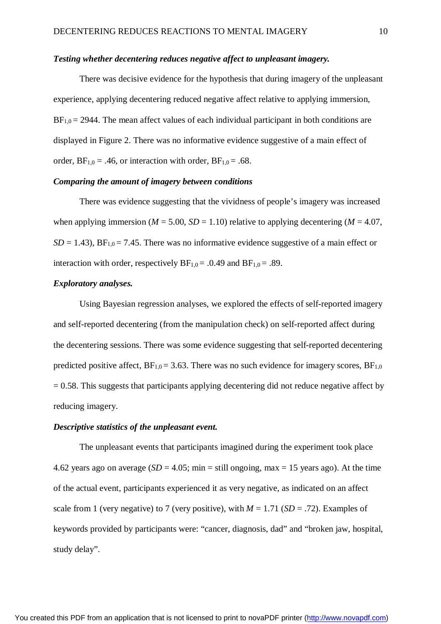#### *Testing whether decentering reduces negative affect to unpleasant imagery.*

There was decisive evidence for the hypothesis that during imagery of the unpleasant experience, applying decentering reduced negative affect relative to applying immersion,  $BF_{1,0} = 2944$ . The mean affect values of each individual participant in both conditions are displayed in Figure 2. There was no informative evidence suggestive of a main effect of order,  $BF_{1,0} = .46$ , or interaction with order,  $BF_{1,0} = .68$ .

### *Comparing the amount of imagery between conditions*

There was evidence suggesting that the vividness of people's imagery was increased when applying immersion ( $M = 5.00$ ,  $SD = 1.10$ ) relative to applying decentering ( $M = 4.07$ ,  $SD = 1.43$ ),  $BF_{1,0} = 7.45$ . There was no informative evidence suggestive of a main effect or interaction with order, respectively  $BF_{1,0} = .0.49$  and  $BF_{1,0} = .89$ .

### *Exploratory analyses.*

Using Bayesian regression analyses, we explored the effects of self-reported imagery and self-reported decentering (from the manipulation check) on self-reported affect during the decentering sessions. There was some evidence suggesting that self-reported decentering predicted positive affect,  $BF_{1,0} = 3.63$ . There was no such evidence for imagery scores,  $BF_{1,0}$  $= 0.58$ . This suggests that participants applying decentering did not reduce negative affect by reducing imagery.

# *Descriptive statistics of the unpleasant event.*

The unpleasant events that participants imagined during the experiment took place 4.62 years ago on average  $(SD = 4.05; \text{min} = \text{still ongoing}, \text{max} = 15 \text{ years ago})$ . At the time of the actual event, participants experienced it as very negative, as indicated on an affect scale from 1 (very negative) to 7 (very positive), with  $M = 1.71$  (*SD* = .72). Examples of keywords provided by participants were: "cancer, diagnosis, dad" and "broken jaw, hospital, study delay".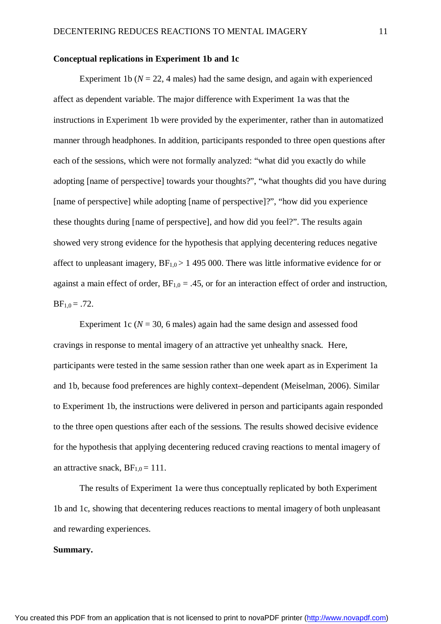### **Conceptual replications in Experiment 1b and 1c**

Experiment 1b ( $N = 22$ , 4 males) had the same design, and again with experienced affect as dependent variable. The major difference with Experiment 1a was that the instructions in Experiment 1b were provided by the experimenter, rather than in automatized manner through headphones. In addition, participants responded to three open questions after each of the sessions, which were not formally analyzed: "what did you exactly do while adopting [name of perspective] towards your thoughts?", "what thoughts did you have during [name of perspective] while adopting [name of perspective]?", "how did you experience these thoughts during [name of perspective], and how did you feel?". The results again showed very strong evidence for the hypothesis that applying decentering reduces negative affect to unpleasant imagery,  $BF_{1,0} > 1$  495 000. There was little informative evidence for or against a main effect of order,  $BF_{1,0} = .45$ , or for an interaction effect of order and instruction,  $BF_{1,0} = .72.$ 

Experiment 1c ( $N = 30$ , 6 males) again had the same design and assessed food cravings in response to mental imagery of an attractive yet unhealthy snack. Here, participants were tested in the same session rather than one week apart as in Experiment 1a and 1b, because food preferences are highly context–dependent (Meiselman, 2006). Similar to Experiment 1b, the instructions were delivered in person and participants again responded to the three open questions after each of the sessions. The results showed decisive evidence for the hypothesis that applying decentering reduced craving reactions to mental imagery of an attractive snack,  $BF_{1,0} = 111$ .

The results of Experiment 1a were thus conceptually replicated by both Experiment 1b and 1c, showing that decentering reduces reactions to mental imagery of both unpleasant and rewarding experiences.

# **Summary.**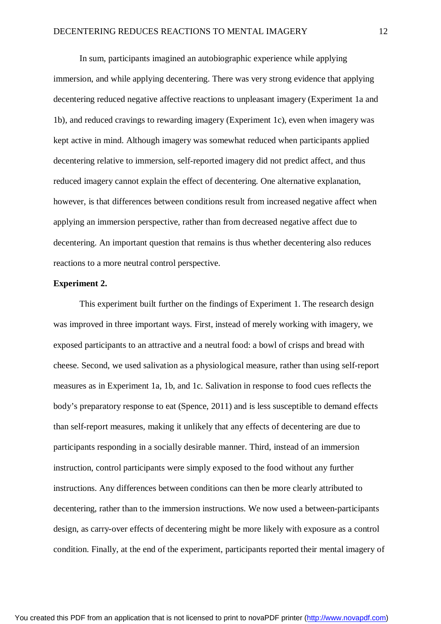In sum, participants imagined an autobiographic experience while applying immersion, and while applying decentering. There was very strong evidence that applying decentering reduced negative affective reactions to unpleasant imagery (Experiment 1a and 1b), and reduced cravings to rewarding imagery (Experiment 1c), even when imagery was kept active in mind. Although imagery was somewhat reduced when participants applied decentering relative to immersion, self-reported imagery did not predict affect, and thus reduced imagery cannot explain the effect of decentering. One alternative explanation, however, is that differences between conditions result from increased negative affect when applying an immersion perspective, rather than from decreased negative affect due to decentering. An important question that remains is thus whether decentering also reduces reactions to a more neutral control perspective.

# **Experiment 2.**

This experiment built further on the findings of Experiment 1. The research design was improved in three important ways. First, instead of merely working with imagery, we exposed participants to an attractive and a neutral food: a bowl of crisps and bread with cheese. Second, we used salivation as a physiological measure, rather than using self-report measures as in Experiment 1a, 1b, and 1c. Salivation in response to food cues reflects the body's preparatory response to eat (Spence, 2011) and is less susceptible to demand effects than self-report measures, making it unlikely that any effects of decentering are due to participants responding in a socially desirable manner. Third, instead of an immersion instruction, control participants were simply exposed to the food without any further instructions. Any differences between conditions can then be more clearly attributed to decentering, rather than to the immersion instructions. We now used a between-participants design, as carry-over effects of decentering might be more likely with exposure as a control condition. Finally, at the end of the experiment, participants reported their mental imagery of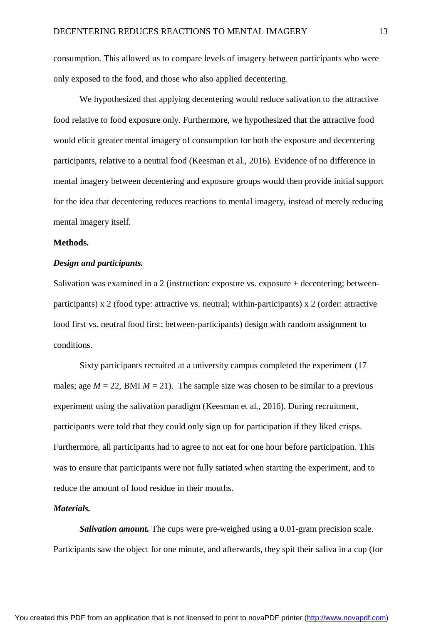consumption. This allowed us to compare levels of imagery between participants who were only exposed to the food, and those who also applied decentering.

We hypothesized that applying decentering would reduce salivation to the attractive food relative to food exposure only. Furthermore, we hypothesized that the attractive food would elicit greater mental imagery of consumption for both the exposure and decentering participants, relative to a neutral food (Keesman et al., 2016). Evidence of no difference in mental imagery between decentering and exposure groups would then provide initial support for the idea that decentering reduces reactions to mental imagery, instead of merely reducing mental imagery itself.

### **Methods.**

# *Design and participants.*

Salivation was examined in a 2 (instruction: exposure vs. exposure  $+$  decentering; betweenparticipants) x 2 (food type: attractive vs. neutral; within-participants) x 2 (order: attractive food first vs. neutral food first; between-participants) design with random assignment to conditions.

Sixty participants recruited at a university campus completed the experiment (17 males; age  $M = 22$ , BMI  $M = 21$ ). The sample size was chosen to be similar to a previous experiment using the salivation paradigm (Keesman et al., 2016). During recruitment, participants were told that they could only sign up for participation if they liked crisps. Furthermore, all participants had to agree to not eat for one hour before participation. This was to ensure that participants were not fully satiated when starting the experiment, and to reduce the amount of food residue in their mouths.

# *Materials.*

*Salivation amount.* The cups were pre-weighed using a 0.01-gram precision scale. Participants saw the object for one minute, and afterwards, they spit their saliva in a cup (for

You created this PDF from an application that is not licensed to print to novaPDF printer ([http://www.novapdf.com\)](http://www.novapdf.com/)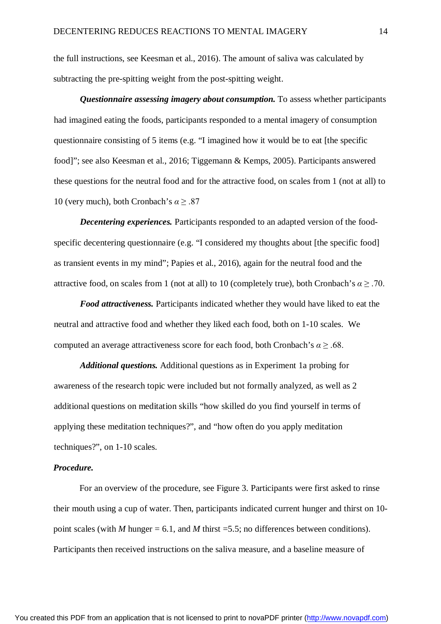the full instructions, see Keesman et al., 2016). The amount of saliva was calculated by subtracting the pre-spitting weight from the post-spitting weight.

*Questionnaire assessing imagery about consumption.* To assess whether participants had imagined eating the foods, participants responded to a mental imagery of consumption questionnaire consisting of 5 items (e.g. "I imagined how it would be to eat [the specific food]"; see also Keesman et al., 2016; Tiggemann & Kemps, 2005). Participants answered these questions for the neutral food and for the attractive food, on scales from 1 (not at all) to 10 (very much), both Cronbach's *α* ≥ .87

*Decentering experiences.* Participants responded to an adapted version of the foodspecific decentering questionnaire (e.g. "I considered my thoughts about [the specific food] as transient events in my mind"; Papies et al., 2016), again for the neutral food and the attractive food, on scales from 1 (not at all) to 10 (completely true), both Cronbach's  $\alpha \geq .70$ .

*Food attractiveness.* Participants indicated whether they would have liked to eat the neutral and attractive food and whether they liked each food, both on 1-10 scales. We computed an average attractiveness score for each food, both Cronbach's *α* ≥ .68.

*Additional questions.* Additional questions as in Experiment 1a probing for awareness of the research topic were included but not formally analyzed, as well as 2 additional questions on meditation skills "how skilled do you find yourself in terms of applying these meditation techniques?", and "how often do you apply meditation techniques?", on 1-10 scales.

### *Procedure.*

For an overview of the procedure, see Figure 3. Participants were first asked to rinse their mouth using a cup of water. Then, participants indicated current hunger and thirst on 10 point scales (with *M* hunger = 6.1, and *M* thirst = 5.5; no differences between conditions). Participants then received instructions on the saliva measure, and a baseline measure of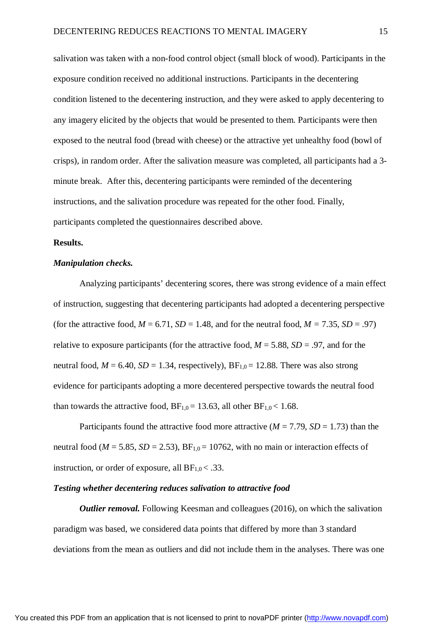salivation was taken with a non-food control object (small block of wood). Participants in the exposure condition received no additional instructions. Participants in the decentering condition listened to the decentering instruction, and they were asked to apply decentering to any imagery elicited by the objects that would be presented to them. Participants were then exposed to the neutral food (bread with cheese) or the attractive yet unhealthy food (bowl of crisps), in random order. After the salivation measure was completed, all participants had a 3 minute break. After this, decentering participants were reminded of the decentering instructions, and the salivation procedure was repeated for the other food. Finally, participants completed the questionnaires described above.

### **Results.**

# *Manipulation checks.*

Analyzing participants' decentering scores, there was strong evidence of a main effect of instruction, suggesting that decentering participants had adopted a decentering perspective (for the attractive food,  $M = 6.71$ ,  $SD = 1.48$ , and for the neutral food,  $M = 7.35$ ,  $SD = .97$ ) relative to exposure participants (for the attractive food,  $M = 5.88$ ,  $SD = .97$ , and for the neutral food,  $M = 6.40$ ,  $SD = 1.34$ , respectively),  $BF_{1,0} = 12.88$ . There was also strong evidence for participants adopting a more decentered perspective towards the neutral food than towards the attractive food,  $BF_{1,0} = 13.63$ , all other  $BF_{1,0} < 1.68$ .

Participants found the attractive food more attractive  $(M = 7.79, SD = 1.73)$  than the neutral food ( $M = 5.85$ ,  $SD = 2.53$ ),  $BF_{1,0} = 10762$ , with no main or interaction effects of instruction, or order of exposure, all  $BF_{1,0}$  < .33.

### *Testing whether decentering reduces salivation to attractive food*

*Outlier removal.* Following Keesman and colleagues (2016), on which the salivation paradigm was based, we considered data points that differed by more than 3 standard deviations from the mean as outliers and did not include them in the analyses. There was one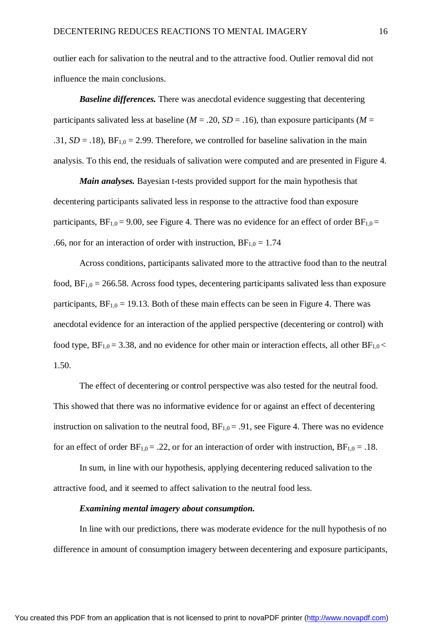outlier each for salivation to the neutral and to the attractive food. Outlier removal did not influence the main conclusions.

*Baseline differences.* There was anecdotal evidence suggesting that decentering participants salivated less at baseline ( $M = .20$ ,  $SD = .16$ ), than exposure participants ( $M =$ .31,  $SD = .18$ ),  $BF_{1,0} = 2.99$ . Therefore, we controlled for baseline salivation in the main analysis. To this end, the residuals of salivation were computed and are presented in Figure 4.

*Main analyses.* Bayesian t-tests provided support for the main hypothesis that decentering participants salivated less in response to the attractive food than exposure participants,  $BF_{1,0} = 9.00$ , see Figure 4. There was no evidence for an effect of order  $BF_{1,0} =$ .66, nor for an interaction of order with instruction,  $BF_{1,0} = 1.74$ 

Across conditions, participants salivated more to the attractive food than to the neutral food,  $BF_{1,0} = 266.58$ . Across food types, decentering participants salivated less than exposure participants,  $BF_{1,0} = 19.13$ . Both of these main effects can be seen in Figure 4. There was anecdotal evidence for an interaction of the applied perspective (decentering or control) with food type,  $BF_{1,0} = 3.38$ , and no evidence for other main or interaction effects, all other  $BF_{1,0} <$ 1.50.

The effect of decentering or control perspective was also tested for the neutral food. This showed that there was no informative evidence for or against an effect of decentering instruction on salivation to the neutral food,  $BF_{1,0} = .91$ , see Figure 4. There was no evidence for an effect of order  $BF_{1,0} = .22$ , or for an interaction of order with instruction,  $BF_{1,0} = .18$ .

In sum, in line with our hypothesis, applying decentering reduced salivation to the attractive food, and it seemed to affect salivation to the neutral food less.

# *Examining mental imagery about consumption.*

In line with our predictions, there was moderate evidence for the null hypothesis of no difference in amount of consumption imagery between decentering and exposure participants,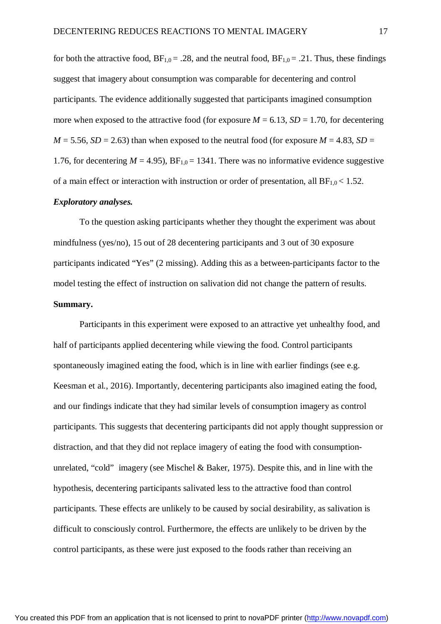for both the attractive food,  $BF_{1,0} = .28$ , and the neutral food,  $BF_{1,0} = .21$ . Thus, these findings suggest that imagery about consumption was comparable for decentering and control participants. The evidence additionally suggested that participants imagined consumption more when exposed to the attractive food (for exposure  $M = 6.13$ ,  $SD = 1.70$ , for decentering  $M = 5.56$ ,  $SD = 2.63$ ) than when exposed to the neutral food (for exposure  $M = 4.83$ ,  $SD =$ 1.76, for decentering  $M = 4.95$ ),  $BF_{1,0} = 1341$ . There was no informative evidence suggestive of a main effect or interaction with instruction or order of presentation, all  $BF_{1,0} < 1.52$ .

#### *Exploratory analyses.*

To the question asking participants whether they thought the experiment was about mindfulness (yes/no), 15 out of 28 decentering participants and 3 out of 30 exposure participants indicated "Yes" (2 missing). Adding this as a between-participants factor to the model testing the effect of instruction on salivation did not change the pattern of results. **Summary.**

Participants in this experiment were exposed to an attractive yet unhealthy food, and half of participants applied decentering while viewing the food. Control participants spontaneously imagined eating the food, which is in line with earlier findings (see e.g. Keesman et al., 2016). Importantly, decentering participants also imagined eating the food, and our findings indicate that they had similar levels of consumption imagery as control participants. This suggests that decentering participants did not apply thought suppression or distraction, and that they did not replace imagery of eating the food with consumptionunrelated, "cold" imagery (see Mischel & Baker, 1975). Despite this, and in line with the hypothesis, decentering participants salivated less to the attractive food than control participants. These effects are unlikely to be caused by social desirability, as salivation is difficult to consciously control. Furthermore, the effects are unlikely to be driven by the control participants, as these were just exposed to the foods rather than receiving an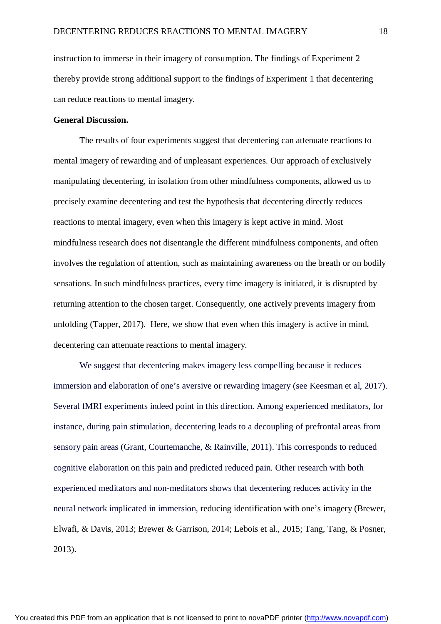instruction to immerse in their imagery of consumption. The findings of Experiment 2 thereby provide strong additional support to the findings of Experiment 1 that decentering can reduce reactions to mental imagery.

# **General Discussion.**

The results of four experiments suggest that decentering can attenuate reactions to mental imagery of rewarding and of unpleasant experiences. Our approach of exclusively manipulating decentering, in isolation from other mindfulness components, allowed us to precisely examine decentering and test the hypothesis that decentering directly reduces reactions to mental imagery, even when this imagery is kept active in mind. Most mindfulness research does not disentangle the different mindfulness components, and often involves the regulation of attention, such as maintaining awareness on the breath or on bodily sensations. In such mindfulness practices, every time imagery is initiated, it is disrupted by returning attention to the chosen target. Consequently, one actively prevents imagery from unfolding (Tapper, 2017). Here, we show that even when this imagery is active in mind, decentering can attenuate reactions to mental imagery.

We suggest that decentering makes imagery less compelling because it reduces immersion and elaboration of one's aversive or rewarding imagery (see Keesman et al, 2017). Several fMRI experiments indeed point in this direction. Among experienced meditators, for instance, during pain stimulation, decentering leads to a decoupling of prefrontal areas from sensory pain areas (Grant, Courtemanche, & Rainville, 2011). This corresponds to reduced cognitive elaboration on this pain and predicted reduced pain. Other research with both experienced meditators and non-meditators shows that decentering reduces activity in the neural network implicated in immersion, reducing identification with one's imagery (Brewer, Elwafi, & Davis, 2013; Brewer & Garrison, 2014; Lebois et al., 2015; Tang, Tang, & Posner, 2013).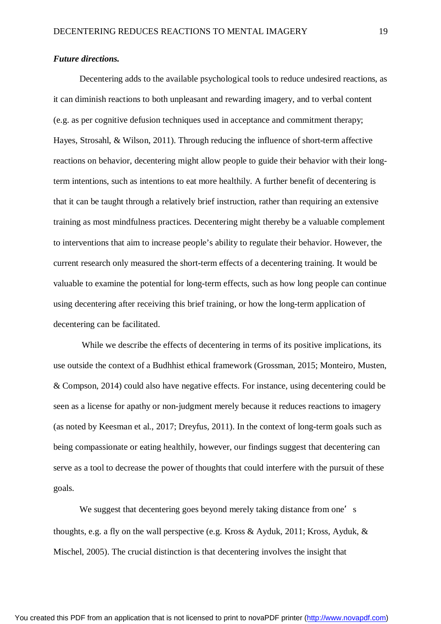#### *Future directions.*

Decentering adds to the available psychological tools to reduce undesired reactions, as it can diminish reactions to both unpleasant and rewarding imagery, and to verbal content (e.g. as per cognitive defusion techniques used in acceptance and commitment therapy; Hayes, Strosahl, & Wilson, 2011). Through reducing the influence of short-term affective reactions on behavior, decentering might allow people to guide their behavior with their longterm intentions, such as intentions to eat more healthily. A further benefit of decentering is that it can be taught through a relatively brief instruction, rather than requiring an extensive training as most mindfulness practices. Decentering might thereby be a valuable complement to interventions that aim to increase people's ability to regulate their behavior. However, the current research only measured the short-term effects of a decentering training. It would be valuable to examine the potential for long-term effects, such as how long people can continue using decentering after receiving this brief training, or how the long-term application of decentering can be facilitated.

While we describe the effects of decentering in terms of its positive implications, its use outside the context of a Budhhist ethical framework (Grossman, 2015; Monteiro, Musten, & Compson, 2014) could also have negative effects. For instance, using decentering could be seen as a license for apathy or non-judgment merely because it reduces reactions to imagery (as noted by Keesman et al., 2017; Dreyfus, 2011). In the context of long-term goals such as being compassionate or eating healthily, however, our findings suggest that decentering can serve as a tool to decrease the power of thoughts that could interfere with the pursuit of these goals.

We suggest that decentering goes beyond merely taking distance from one's thoughts, e.g. a fly on the wall perspective (e.g. Kross & Ayduk, 2011; Kross, Ayduk, & Mischel, 2005). The crucial distinction is that decentering involves the insight that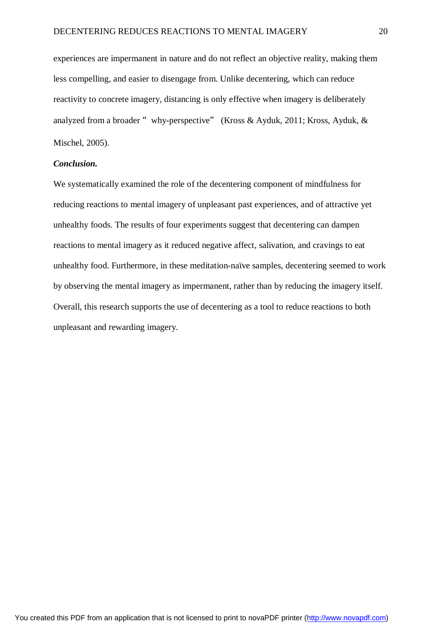experiences are impermanent in nature and do not reflect an objective reality, making them less compelling, and easier to disengage from. Unlike decentering, which can reduce reactivity to concrete imagery, distancing is only effective when imagery is deliberately analyzed from a broader "why-perspective" (Kross & Ayduk, 2011; Kross, Ayduk, & Mischel, 2005).

#### *Conclusion.*

We systematically examined the role of the decentering component of mindfulness for reducing reactions to mental imagery of unpleasant past experiences, and of attractive yet unhealthy foods. The results of four experiments suggest that decentering can dampen reactions to mental imagery as it reduced negative affect, salivation, and cravings to eat unhealthy food. Furthermore, in these meditation-naïve samples, decentering seemed to work by observing the mental imagery as impermanent, rather than by reducing the imagery itself. Overall, this research supports the use of decentering as a tool to reduce reactions to both unpleasant and rewarding imagery.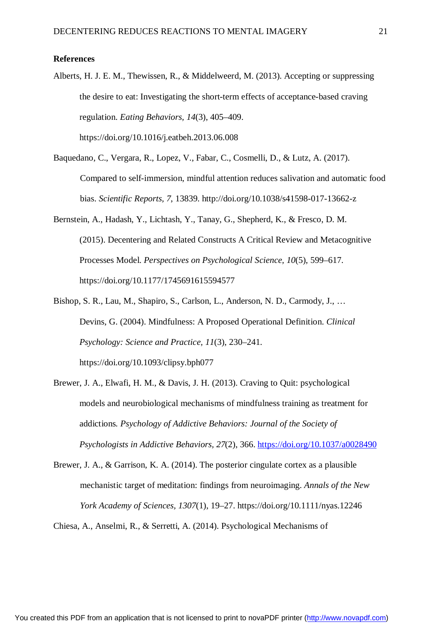#### **References**

- Alberts, H. J. E. M., Thewissen, R., & Middelweerd, M. (2013). Accepting or suppressing the desire to eat: Investigating the short-term effects of acceptance-based craving regulation. *Eating Behaviors, 14*(3), 405–409. <https://doi.org/10.1016/j.eatbeh.2013.06.008>
- Baquedano, C., Vergara, R., Lopez, V., Fabar, C., Cosmelli, D., & Lutz, A. (2017). Compared to self-immersion, mindful attention reduces salivation and automatic food bias. *Scientific Reports, 7*, 13839. <http://doi.org/10.1038/s41598-017-13662-z>
- Bernstein, A., Hadash, Y., Lichtash, Y., Tanay, G., Shepherd, K., & Fresco, D. M. (2015). Decentering and Related Constructs A Critical Review and Metacognitive Processes Model. *Perspectives on Psychological Science, 10*(5), 599–617. <https://doi.org/10.1177/1745691615594577>
- Bishop, S. R., Lau, M., Shapiro, S., Carlson, L., Anderson, N. D., Carmody, J., … Devins, G. (2004). Mindfulness: A Proposed Operational Definition. *Clinical Psychology: Science and Practice, 11*(3), 230–241. <https://doi.org/10.1093/clipsy.bph077>
- Brewer, J. A., Elwafi, H. M., & Davis, J. H. (2013). Craving to Quit: psychological models and neurobiological mechanisms of mindfulness training as treatment for addictions*. Psychology of Addictive Behaviors: Journal of the Society of Psychologists in Addictive Behaviors, 27*(2), 366. <https://doi.org/10.1037/a0028490>
- Brewer, J. A., & Garrison, K. A. (2014). The posterior cingulate cortex as a plausible mechanistic target of meditation: findings from neuroimaging. *Annals of the New York Academy of Sciences, 1307*(1), 19–27. <https://doi.org/10.1111/nyas.12246>

Chiesa, A., Anselmi, R., & Serretti, A. (2014). Psychological Mechanisms of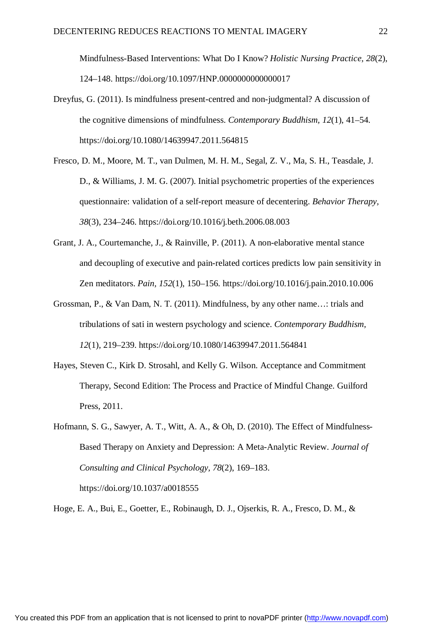Mindfulness-Based Interventions: What Do I Know? *Holistic Nursing Practice, 28*(2), 124–148. <https://doi.org/10.1097/HNP.0000000000000017>

- Dreyfus, G. (2011). Is mindfulness present-centred and non-judgmental? A discussion of the cognitive dimensions of mindfulness. *Contemporary Buddhism, 12*(1), 41–54. <https://doi.org/10.1080/14639947.2011.564815>
- Fresco, D. M., Moore, M. T., van Dulmen, M. H. M., Segal, Z. V., Ma, S. H., Teasdale, J. D., & Williams, J. M. G. (2007). Initial psychometric properties of the experiences questionnaire: validation of a self-report measure of decentering. *Behavior Therapy, 38*(3), 234–246.<https://doi.org/10.1016/j.beth.2006.08.003>
- Grant, J. A., Courtemanche, J., & Rainville, P. (2011). A non-elaborative mental stance and decoupling of executive and pain-related cortices predicts low pain sensitivity in Zen meditators. *Pain, 152*(1), 150–156.<https://doi.org/10.1016/j.pain.2010.10.006>
- Grossman, P., & Van Dam, N. T. (2011). Mindfulness, by any other name…: trials and tribulations of sati in western psychology and science. *Contemporary Buddhism, 12*(1), 219–239.<https://doi.org/10.1080/14639947.2011.564841>
- Hayes, Steven C., Kirk D. Strosahl, and Kelly G. Wilson. Acceptance and Commitment Therapy, Second Edition: The Process and Practice of Mindful Change. Guilford Press, 2011.
- Hofmann, S. G., Sawyer, A. T., Witt, A. A., & Oh, D. (2010). The Effect of Mindfulness-Based Therapy on Anxiety and Depression: A Meta-Analytic Review. *Journal of Consulting and Clinical Psychology, 78*(2), 169–183. <https://doi.org/10.1037/a0018555>

Hoge, E. A., Bui, E., Goetter, E., Robinaugh, D. J., Ojserkis, R. A., Fresco, D. M., &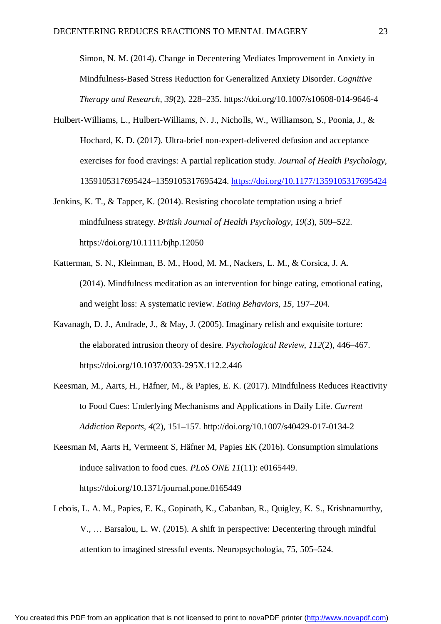Simon, N. M. (2014). Change in Decentering Mediates Improvement in Anxiety in Mindfulness-Based Stress Reduction for Generalized Anxiety Disorder. *Cognitive Therapy and Research, 39*(2), 228–235.<https://doi.org/10.1007/s10608-014-9646-4>

- Hulbert-Williams, L., Hulbert-Williams, N. J., Nicholls, W., Williamson, S., Poonia, J., & Hochard, K. D. (2017). Ultra-brief non-expert-delivered defusion and acceptance exercises for food cravings: A partial replication study. *Journal of Health Psychology*, 1359105317695424–1359105317695424.<https://doi.org/10.1177/1359105317695424>
- Jenkins, K. T., & Tapper, K. (2014). Resisting chocolate temptation using a brief mindfulness strategy. *British Journal of Health Psychology, 19*(3), 509–522. <https://doi.org/10.1111/bjhp.12050>
- Katterman, S. N., Kleinman, B. M., Hood, M. M., Nackers, L. M., & Corsica, J. A. (2014). Mindfulness meditation as an intervention for binge eating, emotional eating, and weight loss: A systematic review. *Eating Behaviors, 15*, 197–204.
- Kavanagh, D. J., Andrade, J., & May, J. (2005). Imaginary relish and exquisite torture: the elaborated intrusion theory of desire*. Psychological Review, 112*(2), 446–467. <https://doi.org/10.1037/0033-295X.112.2.446>
- Keesman, M., Aarts, H., Häfner, M., & Papies, E. K. (2017). Mindfulness Reduces Reactivity to Food Cues: Underlying Mechanisms and Applications in Daily Life. *Current Addiction Reports, 4*(2), 151–157. <http://doi.org/10.1007/s40429-017-0134-2>
- Keesman M, Aarts H, Vermeent S, Häfner M, Papies EK (2016). Consumption simulations induce salivation to food cues. *PLoS ONE 11*(11): e0165449. <https://doi.org/10.1371/journal.pone.0165449>
- Lebois, L. A. M., Papies, E. K., Gopinath, K., Cabanban, R., Quigley, K. S., Krishnamurthy, V., … Barsalou, L. W. (2015). A shift in perspective: Decentering through mindful attention to imagined stressful events. Neuropsychologia, 75, 505–524.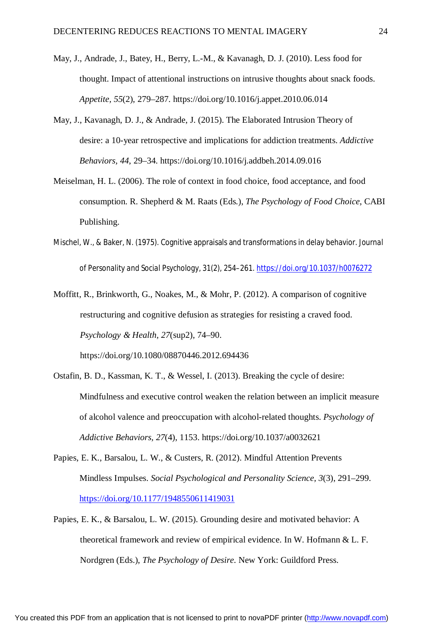- May, J., Andrade, J., Batey, H., Berry, L.-M., & Kavanagh, D. J. (2010). Less food for thought. Impact of attentional instructions on intrusive thoughts about snack foods. *Appetite, 55*(2), 279–287. <https://doi.org/10.1016/j.appet.2010.06.014>
- May, J., Kavanagh, D. J., & Andrade, J. (2015). The Elaborated Intrusion Theory of desire: a 10-year retrospective and implications for addiction treatments. *Addictive Behaviors, 44*, 29–34.<https://doi.org/10.1016/j.addbeh.2014.09.016>
- Meiselman, H. L. (2006). The role of context in food choice, food acceptance, and food consumption. R. Shepherd & M. Raats (Eds.), *The Psychology of Food Choice*, CABI Publishing.
- Mischel, W., & Baker, N. (1975). Cognitive appraisals and transformations in delay behavior. *Journal of Personality and Social Psychology*, *31*(2), 254–261.<https://doi.org/10.1037/h0076272>
- Moffitt, R., Brinkworth, G., Noakes, M., & Mohr, P. (2012). A comparison of cognitive restructuring and cognitive defusion as strategies for resisting a craved food. *Psychology & Health, 27*(sup2), 74–90.

<https://doi.org/10.1080/08870446.2012.694436>

- Ostafin, B. D., Kassman, K. T., & Wessel, I. (2013). Breaking the cycle of desire: Mindfulness and executive control weaken the relation between an implicit measure of alcohol valence and preoccupation with alcohol-related thoughts. *Psychology of Addictive Behaviors, 27*(4), 1153.<https://doi.org/10.1037/a0032621>
- Papies, E. K., Barsalou, L. W., & Custers, R. (2012). Mindful Attention Prevents Mindless Impulses. *Social Psychological and Personality Science, 3*(3), 291–299. <https://doi.org/10.1177/1948550611419031>
- Papies, E. K., & Barsalou, L. W. (2015). Grounding desire and motivated behavior: A theoretical framework and review of empirical evidence. In W. Hofmann & L. F. Nordgren (Eds.), *The Psychology of Desire*. New York: Guildford Press.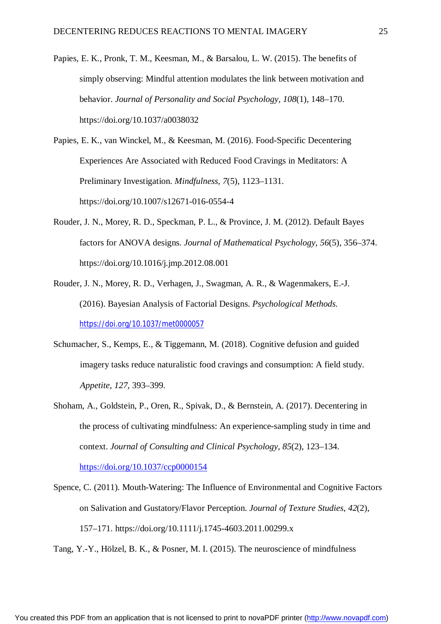Papies, E. K., Pronk, T. M., Keesman, M., & Barsalou, L. W. (2015). The benefits of simply observing: Mindful attention modulates the link between motivation and behavior. *Journal of Personality and Social Psychology, 108*(1), 148–170. <https://doi.org/10.1037/a0038032>

Papies, E. K., van Winckel, M., & Keesman, M. (2016). Food-Specific Decentering Experiences Are Associated with Reduced Food Cravings in Meditators: A Preliminary Investigation. *Mindfulness, 7*(5), 1123–1131. <https://doi.org/10.1007/s12671-016-0554-4>

- Rouder, J. N., Morey, R. D., Speckman, P. L., & Province, J. M. (2012). Default Bayes factors for ANOVA designs. *Journal of Mathematical Psychology, 56*(5), 356–374. <https://doi.org/10.1016/j.jmp.2012.08.001>
- Rouder, J. N., Morey, R. D., Verhagen, J., Swagman, A. R., & Wagenmakers, E.-J. (2016). Bayesian Analysis of Factorial Designs. *Psychological Methods.*  <https://doi.org/10.1037/met0000057>
- Schumacher, S., Kemps, E., & Tiggemann, M. (2018). Cognitive defusion and guided imagery tasks reduce naturalistic food cravings and consumption: A field study. *Appetite*, *127*, 393–399.
- Shoham, A., Goldstein, P., Oren, R., Spivak, D., & Bernstein, A. (2017). Decentering in the process of cultivating mindfulness: An experience-sampling study in time and context. *Journal of Consulting and Clinical Psychology, 85*(2), 123–134.

<https://doi.org/10.1037/ccp0000154>

Spence, C. (2011). Mouth-Watering: The Influence of Environmental and Cognitive Factors on Salivation and Gustatory/Flavor Perception. *Journal of Texture Studies, 42*(2), 157–171. <https://doi.org/10.1111/j.1745-4603.2011.00299.x>

Tang, Y.-Y., Hölzel, B. K., & Posner, M. I. (2015). The neuroscience of mindfulness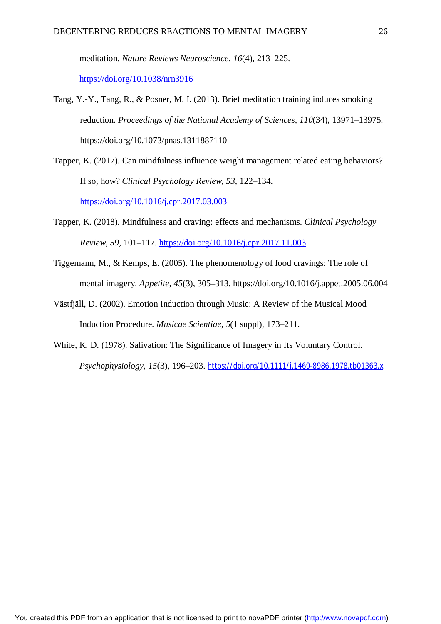meditation. *Nature Reviews Neuroscience, 16*(4), 213–225. <https://doi.org/10.1038/nrn3916>

- Tang, Y.-Y., Tang, R., & Posner, M. I. (2013). Brief meditation training induces smoking reduction. *Proceedings of the National Academy of Sciences, 110*(34), 13971–13975. <https://doi.org/10.1073/pnas.1311887110>
- Tapper, K. (2017). Can mindfulness influence weight management related eating behaviors? If so, how? *Clinical Psychology Review, 53*, 122–134.

<https://doi.org/10.1016/j.cpr.2017.03.003>

- Tapper, K. (2018). Mindfulness and craving: effects and mechanisms. *Clinical Psychology Review*, *59*, 101–117. <https://doi.org/10.1016/j.cpr.2017.11.003>
- Tiggemann, M., & Kemps, E. (2005). The phenomenology of food cravings: The role of mental imagery. *Appetite, 45*(3), 305–313.<https://doi.org/10.1016/j.appet.2005.06.004>
- Västfjäll, D. (2002). Emotion Induction through Music: A Review of the Musical Mood Induction Procedure. *Musicae Scientiae, 5*(1 suppl), 173–211.
- White, K. D. (1978). Salivation: The Significance of Imagery in Its Voluntary Control. *Psychophysiology, 15*(3), 196–203. <https://doi.org/10.1111/j.1469-8986.1978.tb01363.x>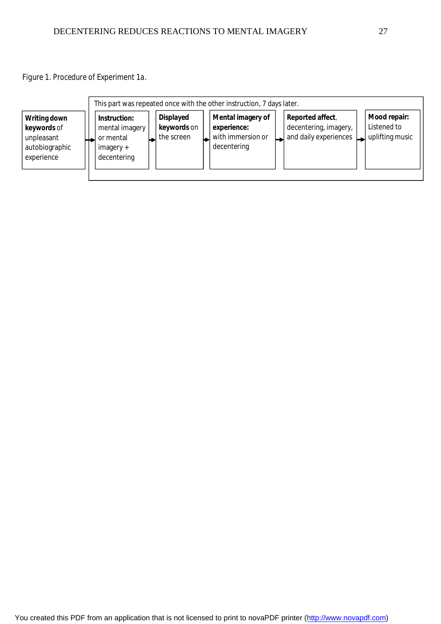*Figure 1. Procedure of Experiment 1a.*

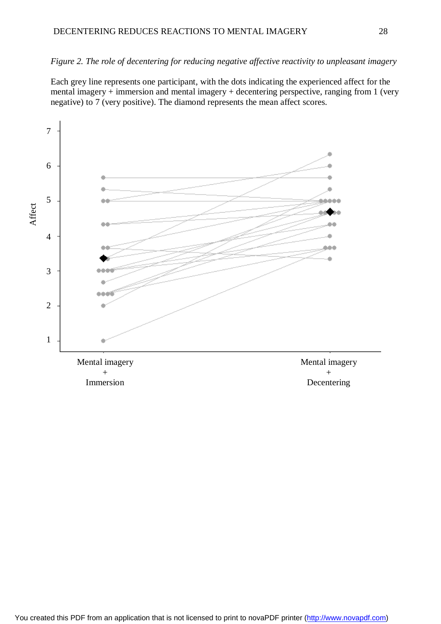# *Figure 2. The role of decentering for reducing negative affective reactivity to unpleasant imagery*

Each grey line represents one participant, with the dots indicating the experienced affect for the mental imagery + immersion and mental imagery + decentering perspective, ranging from 1 (very negative) to 7 (very positive). The diamond represents the mean affect scores.

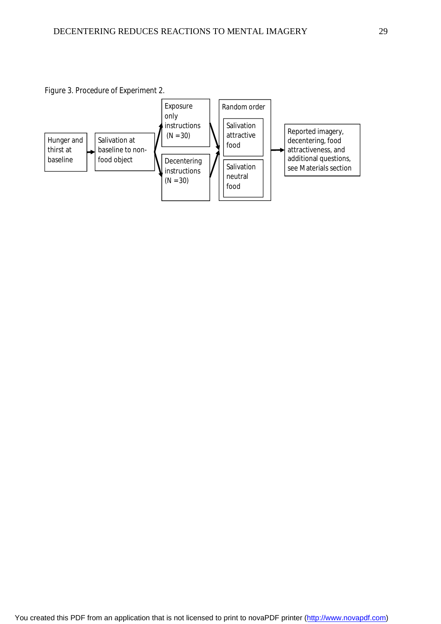*Figure 3. Procedure of Experiment 2.*

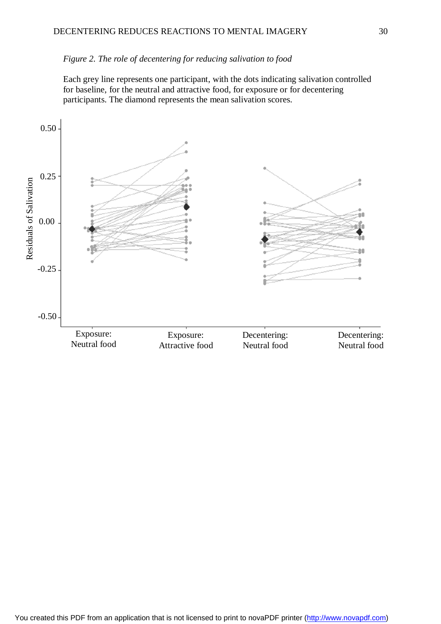### *Figure 2. The role of decentering for reducing salivation to food*

Each grey line represents one participant, with the dots indicating salivation controlled for baseline, for the neutral and attractive food, for exposure or for decentering participants. The diamond represents the mean salivation scores.

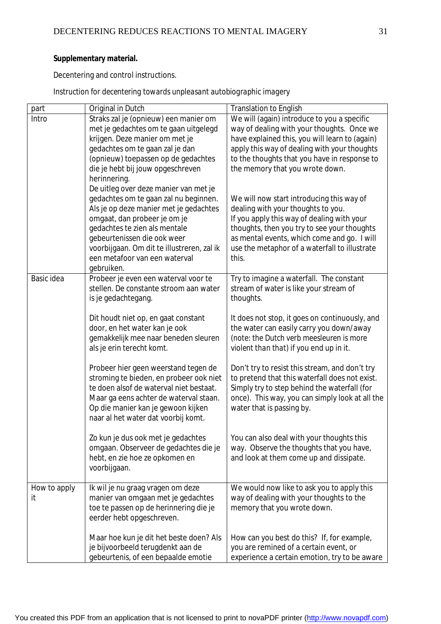# **Supplementary material.**

Decentering and control instructions.

*Instruction for decentering towards unpleasant autobiographic imagery* 

| part         | Original in Dutch                                                         | <b>Translation to English</b>                                                                |
|--------------|---------------------------------------------------------------------------|----------------------------------------------------------------------------------------------|
| Intro        | Straks zal je (opnieuw) een manier om                                     | We will (again) introduce to you a specific                                                  |
|              | met je gedachtes om te gaan uitgelegd                                     | way of dealing with your thoughts. Once we                                                   |
|              | krijgen. Deze manier om met je                                            | have explained this, you will learn to (again)                                               |
|              | gedachtes om te gaan zal je dan                                           | apply this way of dealing with your thoughts                                                 |
|              | (opnieuw) toepassen op de gedachtes                                       | to the thoughts that you have in response to                                                 |
|              | die je hebt bij jouw opgeschreven                                         | the memory that you wrote down.                                                              |
|              | herinnering.                                                              |                                                                                              |
|              | De uitleg over deze manier van met je                                     |                                                                                              |
|              | gedachtes om te gaan zal nu beginnen.                                     | We will now start introducing this way of                                                    |
|              | Als je op deze manier met je gedachtes                                    | dealing with your thoughts to you.                                                           |
|              | omgaat, dan probeer je om je                                              | If you apply this way of dealing with your                                                   |
|              | gedachtes te zien als mentale                                             | thoughts, then you try to see your thoughts                                                  |
|              | gebeurtenissen die ook weer<br>voorbijgaan. Om dit te illustreren, zal ik | as mental events, which come and go. I will<br>use the metaphor of a waterfall to illustrate |
|              | een metafoor van een waterval                                             | this.                                                                                        |
|              | gebruiken.                                                                |                                                                                              |
| Basic idea   | Probeer je even een waterval voor te                                      | Try to imagine a waterfall. The constant                                                     |
|              | stellen. De constante stroom aan water                                    | stream of water is like your stream of                                                       |
|              | is je gedachtegang.                                                       | thoughts.                                                                                    |
|              |                                                                           |                                                                                              |
|              | Dit houdt niet op, en gaat constant                                       | It does not stop, it goes on continuously, and                                               |
|              | door, en het water kan je ook                                             | the water can easily carry you down/away                                                     |
|              | gemakkelijk mee naar beneden sleuren                                      | (note: the Dutch verb meesleuren is more                                                     |
|              | als je erin terecht komt.                                                 | violent than that) if you end up in it.                                                      |
|              |                                                                           |                                                                                              |
|              | Probeer hier geen weerstand tegen de                                      | Don't try to resist this stream, and don't try                                               |
|              | stroming te bieden, en probeer ook niet                                   | to pretend that this waterfall does not exist.                                               |
|              | te doen alsof de waterval niet bestaat.                                   | Simply try to step behind the waterfall (for                                                 |
|              | Maar ga eens achter de waterval staan.                                    | once). This way, you can simply look at all the                                              |
|              | Op die manier kan je gewoon kijken                                        | water that is passing by.                                                                    |
|              | naar al het water dat voorbij komt.                                       |                                                                                              |
|              | Zo kun je dus ook met je gedachtes                                        |                                                                                              |
|              | omgaan. Observeer de gedachtes die je                                     | You can also deal with your thoughts this<br>way. Observe the thoughts that you have,        |
|              | hebt, en zie hoe ze opkomen en                                            | and look at them come up and dissipate.                                                      |
|              | voorbijgaan.                                                              |                                                                                              |
|              |                                                                           |                                                                                              |
| How to apply | Ik wil je nu graag vragen om deze                                         | We would now like to ask you to apply this                                                   |
| it           | manier van omgaan met je gedachtes                                        | way of dealing with your thoughts to the                                                     |
|              | toe te passen op de herinnering die je                                    | memory that you wrote down.                                                                  |
|              | eerder hebt opgeschreven.                                                 |                                                                                              |
|              |                                                                           |                                                                                              |
|              | Maar hoe kun je dit het beste doen? Als                                   | How can you best do this? If, for example,                                                   |
|              | je bijvoorbeeld terugdenkt aan de                                         | you are remined of a certain event, or                                                       |
|              | gebeurtenis, of een bepaalde emotie                                       | experience a certain emotion, try to be aware                                                |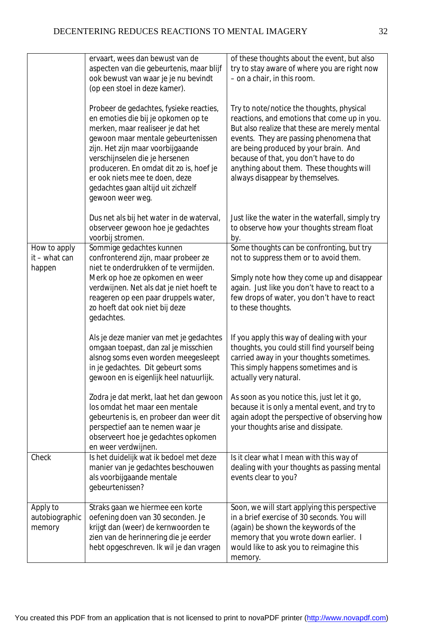|                                         | ervaart, wees dan bewust van de<br>aspecten van die gebeurtenis, maar blijf<br>ook bewust van waar je je nu bevindt<br>(op een stoel in deze kamer).                                                                                                                                                                                                                    | of these thoughts about the event, but also<br>try to stay aware of where you are right now<br>- on a chair, in this room.                                                                                                                                                                                                                             |
|-----------------------------------------|-------------------------------------------------------------------------------------------------------------------------------------------------------------------------------------------------------------------------------------------------------------------------------------------------------------------------------------------------------------------------|--------------------------------------------------------------------------------------------------------------------------------------------------------------------------------------------------------------------------------------------------------------------------------------------------------------------------------------------------------|
|                                         | Probeer de gedachtes, fysieke reacties,<br>en emoties die bij je opkomen op te<br>merken, maar realiseer je dat het<br>gewoon maar mentale gebeurtenissen<br>zijn. Het zijn maar voorbijgaande<br>verschijnselen die je hersenen<br>produceren. En omdat dit zo is, hoef je<br>er ook niets mee te doen, deze<br>gedachtes gaan altijd uit zichzelf<br>gewoon weer weg. | Try to note/notice the thoughts, physical<br>reactions, and emotions that come up in you.<br>But also realize that these are merely mental<br>events. They are passing phenomena that<br>are being produced by your brain. And<br>because of that, you don't have to do<br>anything about them. These thoughts will<br>always disappear by themselves. |
|                                         | Dus net als bij het water in de waterval,<br>observeer gewoon hoe je gedachtes<br>voorbij stromen.                                                                                                                                                                                                                                                                      | Just like the water in the waterfall, simply try<br>to observe how your thoughts stream float<br>by.                                                                                                                                                                                                                                                   |
| How to apply<br>it – what can<br>happen | Sommige gedachtes kunnen<br>confronterend zijn, maar probeer ze<br>niet te onderdrukken of te vermijden.<br>Merk op hoe ze opkomen en weer<br>verdwijnen. Net als dat je niet hoeft te<br>reageren op een paar druppels water,<br>zo hoeft dat ook niet bij deze<br>gedachtes.                                                                                          | Some thoughts can be confronting, but try<br>not to suppress them or to avoid them.<br>Simply note how they come up and disappear<br>again. Just like you don't have to react to a<br>few drops of water, you don't have to react<br>to these thoughts.                                                                                                |
|                                         | Als je deze manier van met je gedachtes<br>omgaan toepast, dan zal je misschien<br>alsnog soms even worden meegesleept<br>in je gedachtes. Dit gebeurt soms<br>gewoon en is eigenlijk heel natuurlijk.                                                                                                                                                                  | If you apply this way of dealing with your<br>thoughts, you could still find yourself being<br>carried away in your thoughts sometimes.<br>This simply happens sometimes and is<br>actually very natural.                                                                                                                                              |
|                                         | Zodra je dat merkt, laat het dan gewoon<br>los omdat het maar een mentale<br>gebeurtenis is, en probeer dan weer dit<br>perspectief aan te nemen waar je<br>observeert hoe je gedachtes opkomen<br>en weer verdwijnen.                                                                                                                                                  | As soon as you notice this, just let it go,<br>because it is only a mental event, and try to<br>again adopt the perspective of observing how<br>your thoughts arise and dissipate.                                                                                                                                                                     |
| Check                                   | Is het duidelijk wat ik bedoel met deze<br>manier van je gedachtes beschouwen<br>als voorbijgaande mentale<br>gebeurtenissen?                                                                                                                                                                                                                                           | Is it clear what I mean with this way of<br>dealing with your thoughts as passing mental<br>events clear to you?                                                                                                                                                                                                                                       |
| Apply to<br>autobiographic<br>memory    | Straks gaan we hiermee een korte<br>oefening doen van 30 seconden. Je<br>krijgt dan (weer) de kernwoorden te<br>zien van de herinnering die je eerder<br>hebt opgeschreven. Ik wil je dan vragen                                                                                                                                                                        | Soon, we will start applying this perspective<br>in a brief exercise of 30 seconds. You will<br>(again) be shown the keywords of the<br>memory that you wrote down earlier. I<br>would like to ask you to reimagine this<br>memory.                                                                                                                    |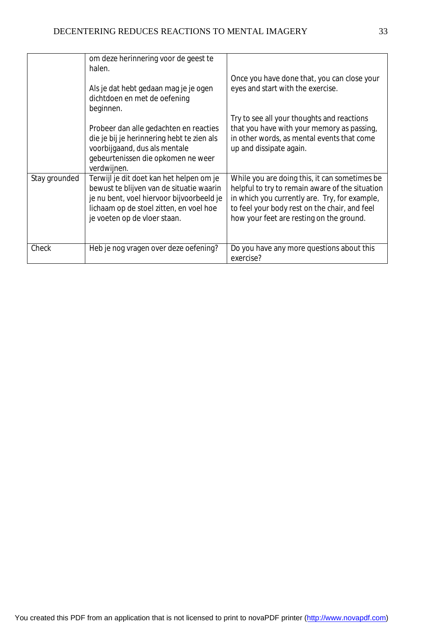|               | om deze herinnering voor de geest te<br>halen.                                                                                                                                                               | Once you have done that, you can close your                                                                                                                                                                                                    |
|---------------|--------------------------------------------------------------------------------------------------------------------------------------------------------------------------------------------------------------|------------------------------------------------------------------------------------------------------------------------------------------------------------------------------------------------------------------------------------------------|
|               | Als je dat hebt gedaan mag je je ogen<br>dichtdoen en met de oefening<br>beginnen.                                                                                                                           | eyes and start with the exercise.                                                                                                                                                                                                              |
|               |                                                                                                                                                                                                              | Try to see all your thoughts and reactions                                                                                                                                                                                                     |
|               | Probeer dan alle gedachten en reacties<br>die je bij je herinnering hebt te zien als<br>voorbijgaand, dus als mentale<br>gebeurtenissen die opkomen ne weer<br>verdwijnen.                                   | that you have with your memory as passing,<br>in other words, as mental events that come<br>up and dissipate again.                                                                                                                            |
| Stay grounded | Terwijl je dit doet kan het helpen om je<br>bewust te blijven van de situatie waarin<br>je nu bent, voel hiervoor bijvoorbeeld je<br>lichaam op de stoel zitten, en voel hoe<br>je voeten op de vloer staan. | While you are doing this, it can sometimes be<br>helpful to try to remain aware of the situation<br>in which you currently are. Try, for example,<br>to feel your body rest on the chair, and feel<br>how your feet are resting on the ground. |
| Check         | Heb je nog vragen over deze oefening?                                                                                                                                                                        | Do you have any more questions about this<br>exercise?                                                                                                                                                                                         |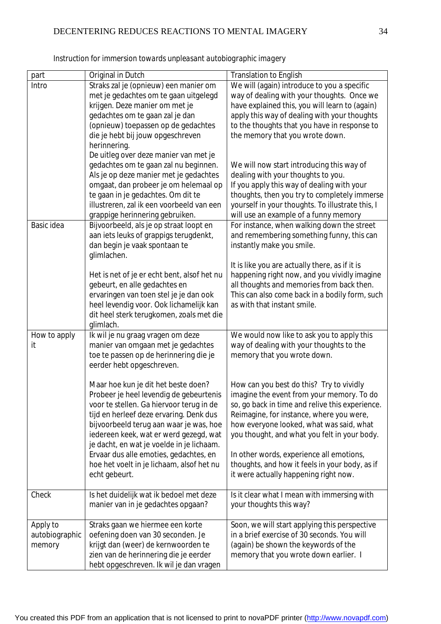| part           | Original in Dutch                                 | <b>Translation to English</b>                    |
|----------------|---------------------------------------------------|--------------------------------------------------|
| Intro          | Straks zal je (opnieuw) een manier om             | We will (again) introduce to you a specific      |
|                | met je gedachtes om te gaan uitgelegd             | way of dealing with your thoughts. Once we       |
|                | krijgen. Deze manier om met je                    | have explained this, you will learn to (again)   |
|                | gedachtes om te gaan zal je dan                   | apply this way of dealing with your thoughts     |
|                | (opnieuw) toepassen op de gedachtes               | to the thoughts that you have in response to     |
|                | die je hebt bij jouw opgeschreven<br>herinnering. | the memory that you wrote down.                  |
|                | De uitleg over deze manier van met je             |                                                  |
|                | gedachtes om te gaan zal nu beginnen.             | We will now start introducing this way of        |
|                | Als je op deze manier met je gedachtes            | dealing with your thoughts to you.               |
|                | omgaat, dan probeer je om helemaal op             | If you apply this way of dealing with your       |
|                | te gaan in je gedachtes. Om dit te                | thoughts, then you try to completely immerse     |
|                | illustreren, zal ik een voorbeeld van een         | yourself in your thoughts. To illustrate this, I |
|                | grappige herinnering gebruiken.                   | will use an example of a funny memory            |
| Basic idea     | Bijvoorbeeld, als je op straat loopt en           | For instance, when walking down the street       |
|                | aan iets leuks of grappigs terugdenkt,            | and remembering something funny, this can        |
|                | dan begin je vaak spontaan te                     | instantly make you smile.                        |
|                | glimlachen.                                       |                                                  |
|                |                                                   | It is like you are actually there, as if it is   |
|                | Het is net of je er echt bent, alsof het nu       | happening right now, and you vividly imagine     |
|                | gebeurt, en alle gedachtes en                     | all thoughts and memories from back then.        |
|                | ervaringen van toen stel je je dan ook            | This can also come back in a bodily form, such   |
|                | heel levendig voor. Ook lichamelijk kan           | as with that instant smile.                      |
|                | dit heel sterk terugkomen, zoals met die          |                                                  |
|                | glimlach.                                         |                                                  |
| How to apply   | Ik wil je nu graag vragen om deze                 | We would now like to ask you to apply this       |
| it             | manier van omgaan met je gedachtes                | way of dealing with your thoughts to the         |
|                | toe te passen op de herinnering die je            | memory that you wrote down.                      |
|                | eerder hebt opgeschreven.                         |                                                  |
|                | Maar hoe kun je dit het beste doen?               | How can you best do this? Try to vividly         |
|                | Probeer je heel levendig de gebeurtenis           | imagine the event from your memory. To do        |
|                | voor te stellen. Ga hiervoor terug in de          | so, go back in time and relive this experience.  |
|                | tijd en herleef deze ervaring. Denk dus           | Reimagine, for instance, where you were,         |
|                | bijvoorbeeld terug aan waar je was, hoe           | how everyone looked, what was said, what         |
|                | iedereen keek, wat er werd gezegd, wat            | you thought, and what you felt in your body.     |
|                | je dacht, en wat je voelde in je lichaam.         |                                                  |
|                | Ervaar dus alle emoties, gedachtes, en            | In other words, experience all emotions,         |
|                | hoe het voelt in je lichaam, alsof het nu         | thoughts, and how it feels in your body, as if   |
|                | echt gebeurt.                                     | it were actually happening right now.            |
|                |                                                   |                                                  |
| Check          | Is het duidelijk wat ik bedoel met deze           | Is it clear what I mean with immersing with      |
|                | manier van in je gedachtes opgaan?                | your thoughts this way?                          |
|                |                                                   |                                                  |
| Apply to       | Straks gaan we hiermee een korte                  | Soon, we will start applying this perspective    |
| autobiographic | oefening doen van 30 seconden. Je                 | in a brief exercise of 30 seconds. You will      |
| memory         | krijgt dan (weer) de kernwoorden te               | (again) be shown the keywords of the             |
|                | zien van de herinnering die je eerder             | memory that you wrote down earlier. I            |
|                | hebt opgeschreven. Ik wil je dan vragen           |                                                  |

*Instruction for immersion towards unpleasant autobiographic imagery*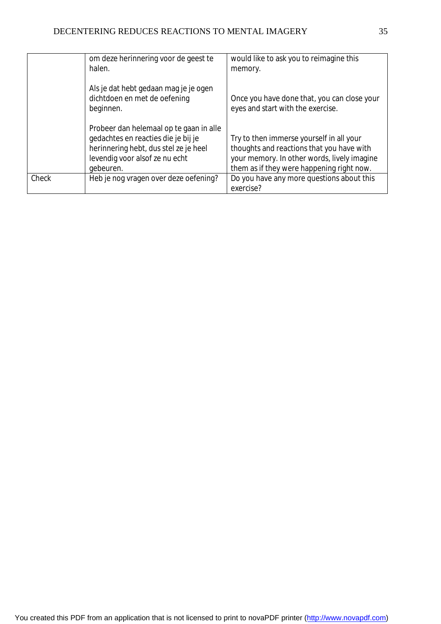|       | om deze herinnering voor de geest te<br>halen.                                                                                                                         | would like to ask you to reimagine this<br>memory.                                                                                                                                |
|-------|------------------------------------------------------------------------------------------------------------------------------------------------------------------------|-----------------------------------------------------------------------------------------------------------------------------------------------------------------------------------|
|       | Als je dat hebt gedaan mag je je ogen<br>dichtdoen en met de oefening<br>beginnen.                                                                                     | Once you have done that, you can close your<br>eyes and start with the exercise.                                                                                                  |
|       | Probeer dan helemaal op te gaan in alle<br>gedachtes en reacties die je bij je<br>herinnering hebt, dus stel ze je heel<br>levendig voor alsof ze nu echt<br>gebeuren. | Try to then immerse yourself in all your<br>thoughts and reactions that you have with<br>your memory. In other words, lively imagine<br>them as if they were happening right now. |
| Check | Heb je nog vragen over deze oefening?                                                                                                                                  | Do you have any more questions about this<br>exercise?                                                                                                                            |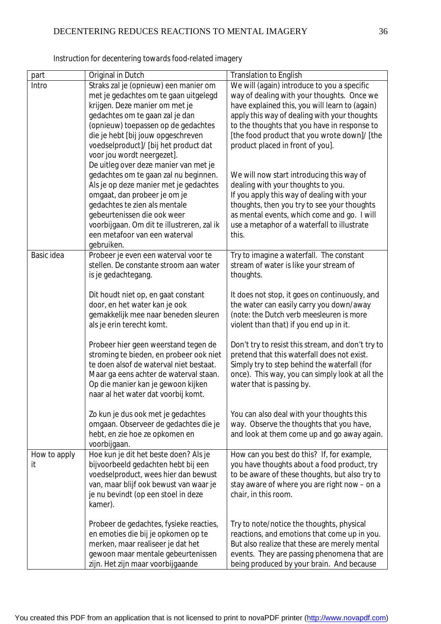| part         | Original in Dutch                                                                  | <b>Translation to English</b>                                                               |
|--------------|------------------------------------------------------------------------------------|---------------------------------------------------------------------------------------------|
| Intro        | Straks zal je (opnieuw) een manier om                                              | We will (again) introduce to you a specific                                                 |
|              | met je gedachtes om te gaan uitgelegd                                              | way of dealing with your thoughts. Once we                                                  |
|              | krijgen. Deze manier om met je                                                     | have explained this, you will learn to (again)                                              |
|              | gedachtes om te gaan zal je dan                                                    | apply this way of dealing with your thoughts                                                |
|              | (opnieuw) toepassen op de gedachtes                                                | to the thoughts that you have in response to                                                |
|              | die je hebt [bij jouw opgeschreven                                                 | [the food product that you wrote down]/ [the                                                |
|              | voedselproduct]/ [bij het product dat                                              | product placed in front of you].                                                            |
|              | voor jou wordt neergezet].                                                         |                                                                                             |
|              | De uitleg over deze manier van met je                                              |                                                                                             |
|              | gedachtes om te gaan zal nu beginnen.                                              | We will now start introducing this way of                                                   |
|              | Als je op deze manier met je gedachtes                                             | dealing with your thoughts to you.                                                          |
|              | omgaat, dan probeer je om je                                                       | If you apply this way of dealing with your                                                  |
|              | gedachtes te zien als mentale                                                      | thoughts, then you try to see your thoughts                                                 |
|              | gebeurtenissen die ook weer                                                        | as mental events, which come and go. I will                                                 |
|              | voorbijgaan. Om dit te illustreren, zal ik                                         | use a metaphor of a waterfall to illustrate                                                 |
|              | een metafoor van een waterval                                                      | this.                                                                                       |
|              | gebruiken.                                                                         |                                                                                             |
| Basic idea   | Probeer je even een waterval voor te                                               | Try to imagine a waterfall. The constant                                                    |
|              | stellen. De constante stroom aan water                                             | stream of water is like your stream of                                                      |
|              | is je gedachtegang.                                                                | thoughts.                                                                                   |
|              |                                                                                    |                                                                                             |
|              | Dit houdt niet op, en gaat constant                                                | It does not stop, it goes on continuously, and                                              |
|              | door, en het water kan je ook                                                      | the water can easily carry you down/away                                                    |
|              | gemakkelijk mee naar beneden sleuren                                               | (note: the Dutch verb meesleuren is more                                                    |
|              | als je erin terecht komt.                                                          | violent than that) if you end up in it.                                                     |
|              |                                                                                    |                                                                                             |
|              | Probeer hier geen weerstand tegen de                                               | Don't try to resist this stream, and don't try to                                           |
|              | stroming te bieden, en probeer ook niet<br>te doen alsof de waterval niet bestaat. | pretend that this waterfall does not exist.<br>Simply try to step behind the waterfall (for |
|              | Maar ga eens achter de waterval staan.                                             |                                                                                             |
|              | Op die manier kan je gewoon kijken                                                 | once). This way, you can simply look at all the<br>water that is passing by.                |
|              | naar al het water dat voorbij komt.                                                |                                                                                             |
|              |                                                                                    |                                                                                             |
|              | Zo kun je dus ook met je gedachtes                                                 | You can also deal with your thoughts this                                                   |
|              | omgaan. Observeer de gedachtes die je                                              | way. Observe the thoughts that you have,                                                    |
|              | hebt, en zie hoe ze opkomen en                                                     | and look at them come up and go away again.                                                 |
|              | voorbijgaan.                                                                       |                                                                                             |
| How to apply | Hoe kun je dit het beste doen? Als je                                              | How can you best do this? If, for example,                                                  |
| it           | bijvoorbeeld gedachten hebt bij een                                                | you have thoughts about a food product, try                                                 |
|              | voedselproduct, wees hier dan bewust                                               | to be aware of these thoughts, but also try to                                              |
|              | van, maar blijf ook bewust van waar je                                             | stay aware of where you are right now - on a                                                |
|              | je nu bevindt (op een stoel in deze                                                | chair, in this room.                                                                        |
|              | kamer).                                                                            |                                                                                             |
|              |                                                                                    |                                                                                             |
|              | Probeer de gedachtes, fysieke reacties,                                            | Try to note/notice the thoughts, physical                                                   |
|              | en emoties die bij je opkomen op te                                                | reactions, and emotions that come up in you.                                                |
|              | merken, maar realiseer je dat het                                                  | But also realize that these are merely mental                                               |
|              | gewoon maar mentale gebeurtenissen                                                 | events. They are passing phenomena that are                                                 |
|              | zijn. Het zijn maar voorbijgaande                                                  | being produced by your brain. And because                                                   |

*Instruction for decentering towards food-related imagery*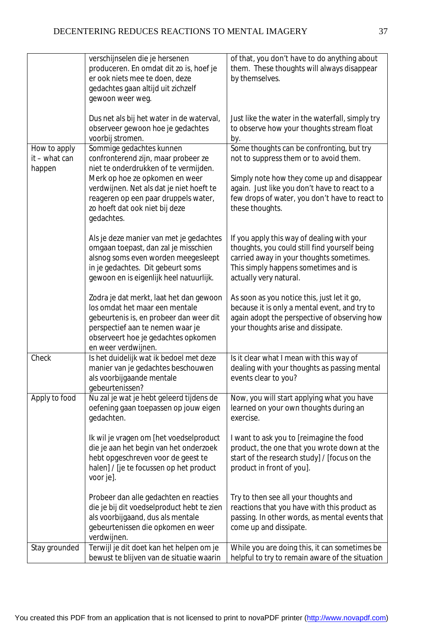|                         | verschijnselen die je hersenen<br>produceren. En omdat dit zo is, hoef je<br>er ook niets mee te doen, deze<br>gedachtes gaan altijd uit zichzelf<br>gewoon weer weg.                                                  | of that, you don't have to do anything about<br>them. These thoughts will always disappear<br>by themselves.                                                                                              |
|-------------------------|------------------------------------------------------------------------------------------------------------------------------------------------------------------------------------------------------------------------|-----------------------------------------------------------------------------------------------------------------------------------------------------------------------------------------------------------|
|                         | Dus net als bij het water in de waterval,<br>observeer gewoon hoe je gedachtes<br>voorbij stromen.                                                                                                                     | Just like the water in the waterfall, simply try<br>to observe how your thoughts stream float<br>by.                                                                                                      |
| How to apply            | Sommige gedachtes kunnen                                                                                                                                                                                               | Some thoughts can be confronting, but try                                                                                                                                                                 |
| it – what can<br>happen | confronterend zijn, maar probeer ze<br>niet te onderdrukken of te vermijden.                                                                                                                                           | not to suppress them or to avoid them.                                                                                                                                                                    |
|                         | Merk op hoe ze opkomen en weer<br>verdwijnen. Net als dat je niet hoeft te<br>reageren op een paar druppels water,<br>zo hoeft dat ook niet bij deze<br>gedachtes.                                                     | Simply note how they come up and disappear<br>again. Just like you don't have to react to a<br>few drops of water, you don't have to react to<br>these thoughts.                                          |
|                         | Als je deze manier van met je gedachtes<br>omgaan toepast, dan zal je misschien<br>alsnog soms even worden meegesleept<br>in je gedachtes. Dit gebeurt soms<br>gewoon en is eigenlijk heel natuurlijk.                 | If you apply this way of dealing with your<br>thoughts, you could still find yourself being<br>carried away in your thoughts sometimes.<br>This simply happens sometimes and is<br>actually very natural. |
|                         | Zodra je dat merkt, laat het dan gewoon<br>los omdat het maar een mentale<br>gebeurtenis is, en probeer dan weer dit<br>perspectief aan te nemen waar je<br>observeert hoe je gedachtes opkomen<br>en weer verdwijnen. | As soon as you notice this, just let it go,<br>because it is only a mental event, and try to<br>again adopt the perspective of observing how<br>your thoughts arise and dissipate.                        |
| Check                   | Is het duidelijk wat ik bedoel met deze<br>manier van je gedachtes beschouwen<br>als voorbijgaande mentale<br>gebeurtenissen?                                                                                          | Is it clear what I mean with this way of<br>dealing with your thoughts as passing mental<br>events clear to you?                                                                                          |
| Apply to food           | Nu zal je wat je hebt geleerd tijdens de<br>oefening gaan toepassen op jouw eigen<br>gedachten.                                                                                                                        | Now, you will start applying what you have<br>learned on your own thoughts during an<br>exercise.                                                                                                         |
|                         | Ik wil je vragen om [het voedselproduct<br>die je aan het begin van het onderzoek<br>hebt opgeschreven voor de geest te<br>halen] / [je te focussen op het product<br>voor je].                                        | I want to ask you to [reimagine the food<br>product, the one that you wrote down at the<br>start of the research study] / [focus on the<br>product in front of you].                                      |
|                         | Probeer dan alle gedachten en reacties<br>die je bij dit voedselproduct hebt te zien<br>als voorbijgaand, dus als mentale<br>gebeurtenissen die opkomen en weer<br>verdwijnen.                                         | Try to then see all your thoughts and<br>reactions that you have with this product as<br>passing. In other words, as mental events that<br>come up and dissipate.                                         |
| Stay grounded           | Terwijl je dit doet kan het helpen om je<br>bewust te blijven van de situatie waarin                                                                                                                                   | While you are doing this, it can sometimes be<br>helpful to try to remain aware of the situation                                                                                                          |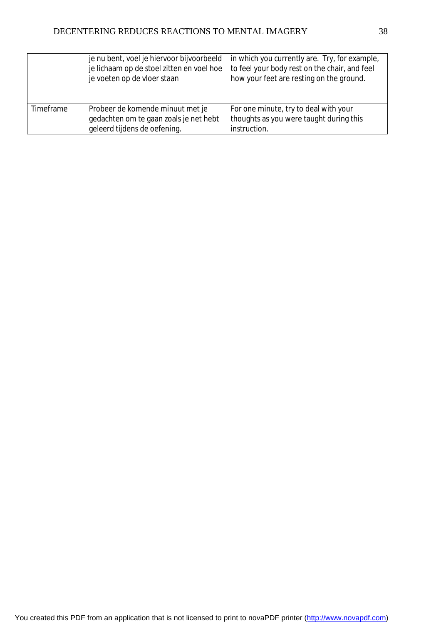|           | je nu bent, voel je hiervoor bijvoorbeeld | in which you currently are. Try, for example, |
|-----------|-------------------------------------------|-----------------------------------------------|
|           | je lichaam op de stoel zitten en voel hoe | to feel your body rest on the chair, and feel |
|           | je voeten op de vloer staan               | how your feet are resting on the ground.      |
|           |                                           |                                               |
|           |                                           |                                               |
| Timeframe | Probeer de komende minuut met je          | For one minute, try to deal with your         |
|           | gedachten om te gaan zoals je net hebt    | thoughts as you were taught during this       |
|           | geleerd tijdens de oefening.              | instruction.                                  |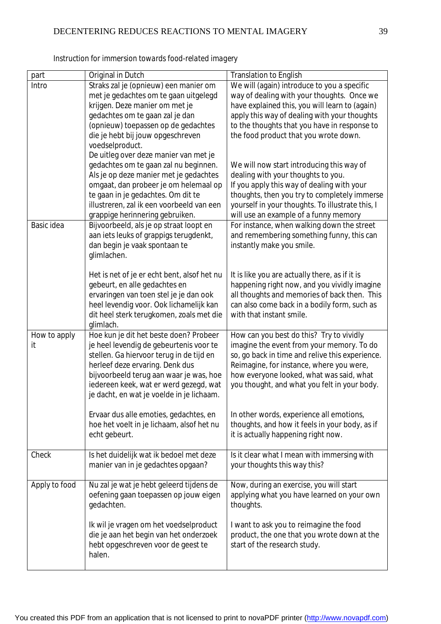| part          | Original in Dutch                                                                 | <b>Translation to English</b>                    |
|---------------|-----------------------------------------------------------------------------------|--------------------------------------------------|
| Intro         | Straks zal je (opnieuw) een manier om                                             | We will (again) introduce to you a specific      |
|               | met je gedachtes om te gaan uitgelegd                                             | way of dealing with your thoughts. Once we       |
|               | krijgen. Deze manier om met je                                                    | have explained this, you will learn to (again)   |
|               | gedachtes om te gaan zal je dan                                                   | apply this way of dealing with your thoughts     |
|               | (opnieuw) toepassen op de gedachtes                                               | to the thoughts that you have in response to     |
|               | die je hebt bij jouw opgeschreven                                                 | the food product that you wrote down.            |
|               | voedselproduct.                                                                   |                                                  |
|               | De uitleg over deze manier van met je                                             |                                                  |
|               | gedachtes om te gaan zal nu beginnen.                                             | We will now start introducing this way of        |
|               | Als je op deze manier met je gedachtes                                            | dealing with your thoughts to you.               |
|               | omgaat, dan probeer je om helemaal op                                             | If you apply this way of dealing with your       |
|               | te gaan in je gedachtes. Om dit te                                                | thoughts, then you try to completely immerse     |
|               | illustreren, zal ik een voorbeeld van een                                         | yourself in your thoughts. To illustrate this, I |
|               | grappige herinnering gebruiken.                                                   | will use an example of a funny memory            |
| Basic idea    | Bijvoorbeeld, als je op straat loopt en                                           | For instance, when walking down the street       |
|               | aan iets leuks of grappigs terugdenkt,                                            | and remembering something funny, this can        |
|               | dan begin je vaak spontaan te<br>glimlachen.                                      | instantly make you smile.                        |
|               |                                                                                   |                                                  |
|               | Het is net of je er echt bent, alsof het nu                                       | It is like you are actually there, as if it is   |
|               | gebeurt, en alle gedachtes en                                                     | happening right now, and you vividly imagine     |
|               | ervaringen van toen stel je je dan ook                                            | all thoughts and memories of back then. This     |
|               | heel levendig voor. Ook lichamelijk kan                                           | can also come back in a bodily form, such as     |
|               | dit heel sterk terugkomen, zoals met die                                          | with that instant smile.                         |
|               | glimlach.                                                                         |                                                  |
| How to apply  | Hoe kun je dit het beste doen? Probeer                                            | How can you best do this? Try to vividly         |
| it            | je heel levendig de gebeurtenis voor te                                           | imagine the event from your memory. To do        |
|               | stellen. Ga hiervoor terug in de tijd en                                          | so, go back in time and relive this experience.  |
|               | herleef deze ervaring. Denk dus                                                   | Reimagine, for instance, where you were,         |
|               | bijvoorbeeld terug aan waar je was, hoe<br>iedereen keek, wat er werd gezegd, wat | how everyone looked, what was said, what         |
|               | je dacht, en wat je voelde in je lichaam.                                         | you thought, and what you felt in your body.     |
|               |                                                                                   |                                                  |
|               | Ervaar dus alle emoties, gedachtes, en                                            | In other words, experience all emotions,         |
|               | hoe het voelt in je lichaam, alsof het nu                                         | thoughts, and how it feels in your body, as if   |
|               | echt gebeurt.                                                                     | it is actually happening right now.              |
|               |                                                                                   |                                                  |
| Check         | Is het duidelijk wat ik bedoel met deze                                           | Is it clear what I mean with immersing with      |
|               | manier van in je gedachtes opgaan?                                                | your thoughts this way this?                     |
|               |                                                                                   |                                                  |
| Apply to food | Nu zal je wat je hebt geleerd tijdens de                                          | Now, during an exercise, you will start          |
|               | oefening gaan toepassen op jouw eigen                                             | applying what you have learned on your own       |
|               | gedachten.                                                                        | thoughts.                                        |
|               | Ik wil je vragen om het voedselproduct                                            | I want to ask you to reimagine the food          |
|               | die je aan het begin van het onderzoek                                            | product, the one that you wrote down at the      |
|               | hebt opgeschreven voor de geest te                                                | start of the research study.                     |
|               | halen.                                                                            |                                                  |
|               |                                                                                   |                                                  |

*Instruction for immersion towards food-related imagery*